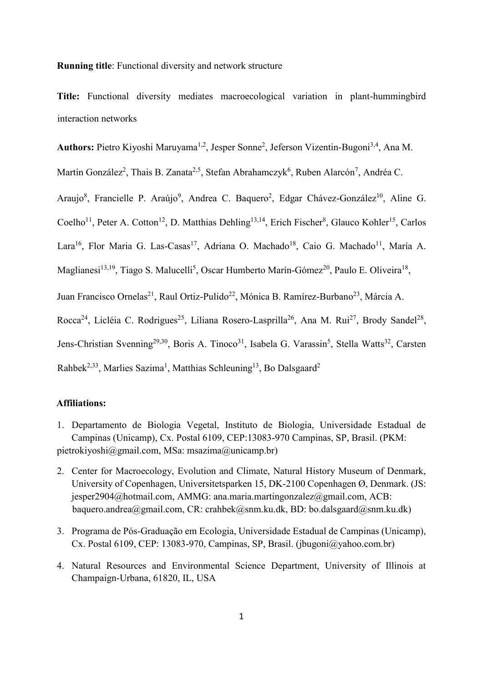#### **Running title**: Functional diversity and network structure

**Title:** Functional diversity mediates macroecological variation in plant-hummingbird interaction networks

Authors: Pietro Kiyoshi Maruyama<sup>1,2</sup>, Jesper Sonne<sup>2</sup>, Jeferson Vizentin-Bugoni<sup>3,4</sup>, Ana M.

Martín González<sup>2</sup>, Thais B. Zanata<sup>2,5</sup>, Stefan Abrahamczyk<sup>6</sup>, Ruben Alarcón<sup>7</sup>, Andréa C.

Araujo<sup>8</sup>, Francielle P. Araújo<sup>9</sup>, Andrea C. Baquero<sup>2</sup>, Edgar Chávez-González<sup>10</sup>, Aline G.

Coelho<sup>11</sup>, Peter A. Cotton<sup>12</sup>, D. Matthias Dehling<sup>13,14</sup>, Erich Fischer<sup>8</sup>, Glauco Kohler<sup>15</sup>, Carlos

Lara<sup>16</sup>, Flor Maria G. Las-Casas<sup>17</sup>, Adriana O. Machado<sup>18</sup>, Caio G. Machado<sup>11</sup>, María A.

Maglianesi<sup>13,19</sup>, Tiago S. Malucelli<sup>5</sup>, Oscar Humberto Marín-Gómez<sup>20</sup>, Paulo E. Oliveira<sup>18</sup>,

Juan Francisco Ornelas<sup>21</sup>, Raul Ortiz-Pulido<sup>22</sup>, Mónica B. Ramírez-Burbano<sup>23</sup>, Márcia A.

Rocca<sup>24</sup>, Licléia C. Rodrigues<sup>25</sup>, Liliana Rosero-Lasprilla<sup>26</sup>, Ana M. Rui<sup>27</sup>, Brody Sandel<sup>28</sup>,

Jens-Christian Svenning<sup>29,30</sup>, Boris A. Tinoco<sup>31</sup>, Isabela G. Varassin<sup>5</sup>, Stella Watts<sup>32</sup>, Carsten

Rahbek<sup>2,33</sup>, Marlies Sazima<sup>1</sup>, Matthias Schleuning<sup>13</sup>, Bo Dalsgaard<sup>2</sup>

# **Affiliations:**

- 1. Departamento de Biologia Vegetal, Instituto de Biologia, Universidade Estadual de Campinas (Unicamp), Cx. Postal 6109, CEP:13083-970 Campinas, SP, Brasil. (PKM: pietrokiyoshi@gmail.com, MSa: msazima@unicamp.br)
- 2. Center for Macroecology, Evolution and Climate, Natural History Museum of Denmark, University of Copenhagen, Universitetsparken 15, DK-2100 Copenhagen Ø, Denmark. (JS: jesper2904@hotmail.com, AMMG: ana.maria.martingonzalez@gmail.com, ACB: baquero.andrea@gmail.com, CR: crahbek@snm.ku.dk, BD: bo.dalsgaard@snm.ku.dk)
- 3. Programa de Pós-Graduação em Ecologia, Universidade Estadual de Campinas (Unicamp), Cx. Postal 6109, CEP: 13083-970, Campinas, SP, Brasil. (jbugoni@yahoo.com.br)
- 4. Natural Resources and Environmental Science Department, University of Illinois at Champaign-Urbana, 61820, IL, USA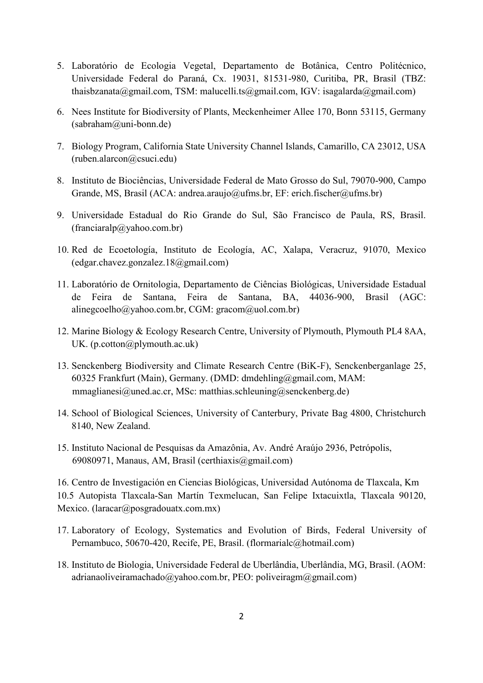- 5. Laboratório de Ecologia Vegetal, Departamento de Botânica, Centro Politécnico, Universidade Federal do Paraná, Cx. 19031, 81531-980, Curitiba, PR, Brasil (TBZ: thaisbzanata@gmail.com, TSM: malucelli.ts@gmail.com, IGV: isagalarda@gmail.com)
- 6. Nees Institute for Biodiversity of Plants, Meckenheimer Allee 170, Bonn 53115, Germany (sabraham@uni-bonn.de)
- 7. Biology Program, California State University Channel Islands, Camarillo, CA 23012, USA (ruben.alarcon@csuci.edu)
- 8. Instituto de Biociências, Universidade Federal de Mato Grosso do Sul, 79070-900, Campo Grande, MS, Brasil (ACA: andrea.araujo@ufms.br, EF: erich.fischer@ufms.br)
- 9. Universidade Estadual do Rio Grande do Sul, São Francisco de Paula, RS, Brasil.  $(franciaralp@yahoo.com.br)$
- 10. Red de Ecoetología, Instituto de Ecología, AC, Xalapa, Veracruz, 91070, Mexico (edgar.chavez.gonzalez.18@gmail.com)
- 11. Laboratório de Ornitologia, Departamento de Ciências Biológicas, Universidade Estadual de Feira de Santana, Feira de Santana, BA, 44036-900, Brasil (AGC: alinegcoelho@yahoo.com.br, CGM: gracom@uol.com.br)
- 12. Marine Biology & Ecology Research Centre, University of Plymouth, Plymouth PL4 8AA, UK. (p.cotton@plymouth.ac.uk)
- 13. Senckenberg Biodiversity and Climate Research Centre (BiK-F), Senckenberganlage 25, 60325 Frankfurt (Main), Germany. (DMD: dmdehling@gmail.com, MAM:  $mmaglianesi@uned.ac-cr, MSc:$  matthias.schleuning@senckenberg.de)
- 14. School of Biological Sciences, University of Canterbury, Private Bag 4800, Christchurch 8140, New Zealand.
- 15. Instituto Nacional de Pesquisas da Amazônia, Av. André Araújo 2936, Petrópolis, 69080971, Manaus, AM, Brasil (certhiaxis@gmail.com)

16. Centro de Investigación en Ciencias Biológicas, Universidad Autónoma de Tlaxcala, Km 10.5 Autopista Tlaxcala-San Martín Texmelucan, San Felipe Ixtacuixtla, Tlaxcala 90120, Mexico. (laracar@posgradouatx.com.mx)

- 17. Laboratory of Ecology, Systematics and Evolution of Birds, Federal University of Pernambuco, 50670-420, Recife, PE, Brasil. (flormarialc@hotmail.com)
- 18. Instituto de Biologia, Universidade Federal de Uberlândia, Uberlândia, MG, Brasil. (AOM: adrianaoliveiramachado@yahoo.com.br, PEO: poliveiragm@gmail.com)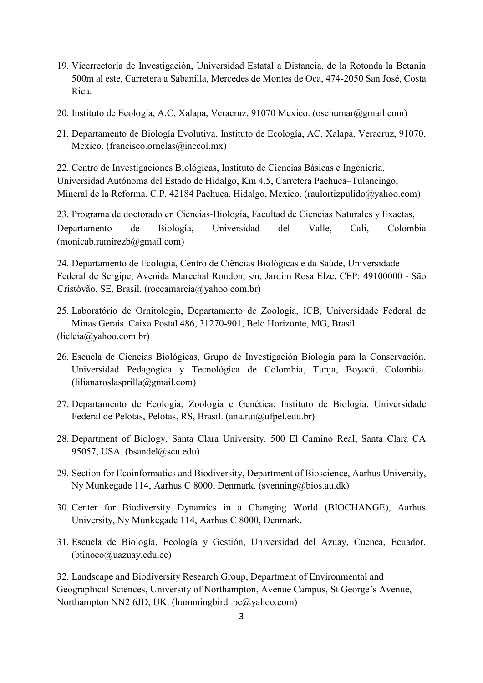- 19. Vicerrectoría de Investigación, Universidad Estatal a Distancia, de la Rotonda la Betania 500m al este, Carretera a Sabanilla, Mercedes de Montes de Oca, 474-2050 San José, Costa Rica.
- 20. Instituto de Ecología, A.C, Xalapa, Veracruz, 91070 Mexico. (oschumar@gmail.com)
- 21. Departamento de Biología Evolutiva, Instituto de Ecología, AC, Xalapa, Veracruz, 91070, Mexico. (francisco.ornelas@inecol.mx)

22. Centro de Investigaciones Biológicas, Instituto de Ciencias Básicas e Ingeniería, Universidad Autónoma del Estado de Hidalgo, Km 4.5, Carretera Pachuca–Tulancingo, Mineral de la Reforma, C.P. 42184 Pachuca, Hidalgo, Mexico. (raulortizpulido@yahoo.com)

23. Programa de doctorado en Ciencias-Biología, Facultad de Ciencias Naturales y Exactas, Departamento de Biología, Universidad del Valle, Cali, Colombia  $(monicabramirezb@gmail.com)$ 

24. Departamento de Ecologia, Centro de Ciências Biológicas e da Saúde, Universidade Federal de Sergipe, Avenida Marechal Rondon, s/n, Jardim Rosa Elze, CEP: 49100000 - São Cristóvão, SE, Brasil. (roccamarcia@yahoo.com.br)

- 25. Laboratório de Ornitologia, Departamento de Zoologia, ICB, Universidade Federal de Minas Gerais. Caixa Postal 486, 31270-901, Belo Horizonte, MG, Brasil. (licleia@yahoo.com.br)
- 26. Escuela de Ciencias Biológicas, Grupo de Investigación Biología para la Conservación, Universidad Pedagógica y Tecnológica de Colombia, Tunja, Boyacá, Colombia. (lilianaroslasprilla@gmail.com)
- 27. Departamento de Ecologia, Zoologia e Genética, Instituto de Biologia, Universidade Federal de Pelotas, Pelotas, RS, Brasil. (ana.rui@ufpel.edu.br)
- 28. Department of Biology, Santa Clara University. 500 El Camino Real, Santa Clara CA 95057, USA. (bsandel@scu.edu)
- 29. Section for Ecoinformatics and Biodiversity, Department of Bioscience, Aarhus University, Ny Munkegade 114, Aarhus C 8000, Denmark. (svenning@bios.au.dk)
- 30. Center for Biodiversity Dynamics in a Changing World (BIOCHANGE), Aarhus University, Ny Munkegade 114, Aarhus C 8000, Denmark.
- 31. Escuela de Biología, Ecología y Gestión, Universidad del Azuay, Cuenca, Ecuador. (btinoco@uazuay.edu.ec)

32. Landscape and Biodiversity Research Group, Department of Environmental and Geographical Sciences, University of Northampton, Avenue Campus, St George's Avenue, Northampton NN2 6JD, UK. (hummingbird pe@yahoo.com)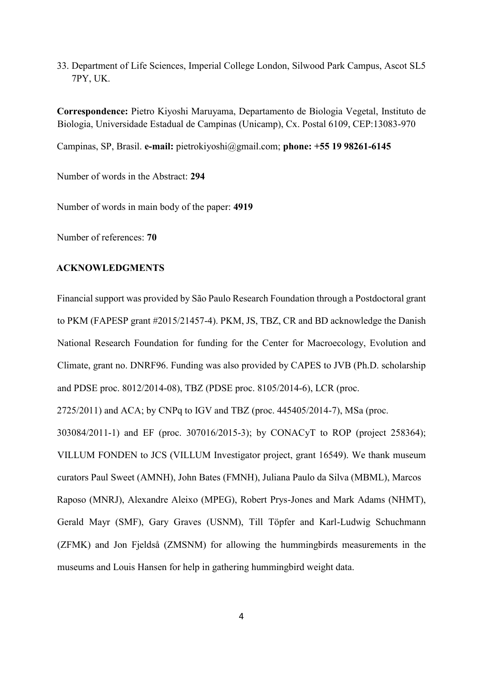33. Department of Life Sciences, Imperial College London, Silwood Park Campus, Ascot SL5 7PY, UK.

**Correspondence:** Pietro Kiyoshi Maruyama, Departamento de Biologia Vegetal, Instituto de Biologia, Universidade Estadual de Campinas (Unicamp), Cx. Postal 6109, CEP:13083-970

Campinas, SP, Brasil. **e-mail:** pietrokiyoshi@gmail.com; **phone: +55 19 98261-6145**

Number of words in the Abstract: **294**

Number of words in main body of the paper: **4919** 

Number of references: **70** 

### **ACKNOWLEDGMENTS**

Financial support was provided by São Paulo Research Foundation through a Postdoctoral grant to PKM (FAPESP grant #2015/21457-4). PKM, JS, TBZ, CR and BD acknowledge the Danish National Research Foundation for funding for the Center for Macroecology, Evolution and Climate, grant no. DNRF96. Funding was also provided by CAPES to JVB (Ph.D. scholarship and PDSE proc. 8012/2014-08), TBZ (PDSE proc. 8105/2014-6), LCR (proc.

2725/2011) and ACA; by CNPq to IGV and TBZ (proc. 445405/2014-7), MSa (proc.

303084/2011-1) and EF (proc. 307016/2015-3); by CONACyT to ROP (project 258364); VILLUM FONDEN to JCS (VILLUM Investigator project, grant 16549). We thank museum curators Paul Sweet (AMNH), John Bates (FMNH), Juliana Paulo da Silva (MBML), Marcos Raposo (MNRJ), Alexandre Aleixo (MPEG), Robert Prys-Jones and Mark Adams (NHMT), Gerald Mayr (SMF), Gary Graves (USNM), Till Töpfer and Karl-Ludwig Schuchmann (ZFMK) and Jon Fjeldså (ZMSNM) for allowing the hummingbirds measurements in the museums and Louis Hansen for help in gathering hummingbird weight data.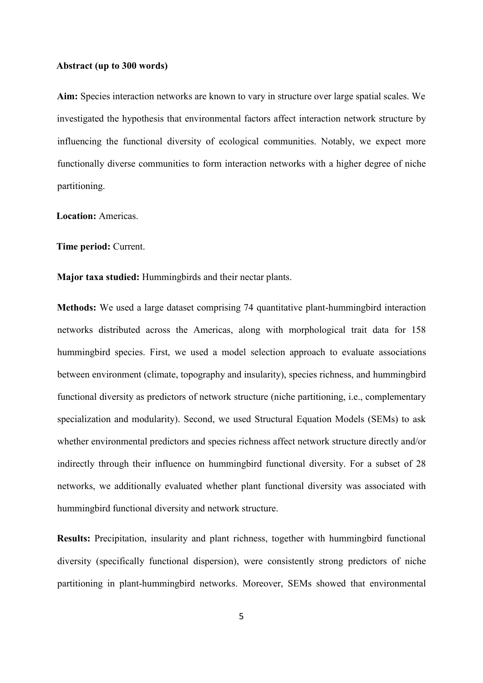#### **Abstract (up to 300 words)**

**Aim:** Species interaction networks are known to vary in structure over large spatial scales. We investigated the hypothesis that environmental factors affect interaction network structure by influencing the functional diversity of ecological communities. Notably, we expect more functionally diverse communities to form interaction networks with a higher degree of niche partitioning.

**Location:** Americas.

**Time period:** Current.

**Major taxa studied:** Hummingbirds and their nectar plants.

**Methods:** We used a large dataset comprising 74 quantitative plant-hummingbird interaction networks distributed across the Americas, along with morphological trait data for 158 hummingbird species. First, we used a model selection approach to evaluate associations between environment (climate, topography and insularity), species richness, and hummingbird functional diversity as predictors of network structure (niche partitioning, i.e., complementary specialization and modularity). Second, we used Structural Equation Models (SEMs) to ask whether environmental predictors and species richness affect network structure directly and/or indirectly through their influence on hummingbird functional diversity. For a subset of 28 networks, we additionally evaluated whether plant functional diversity was associated with hummingbird functional diversity and network structure.

**Results:** Precipitation, insularity and plant richness, together with hummingbird functional diversity (specifically functional dispersion), were consistently strong predictors of niche partitioning in plant-hummingbird networks. Moreover, SEMs showed that environmental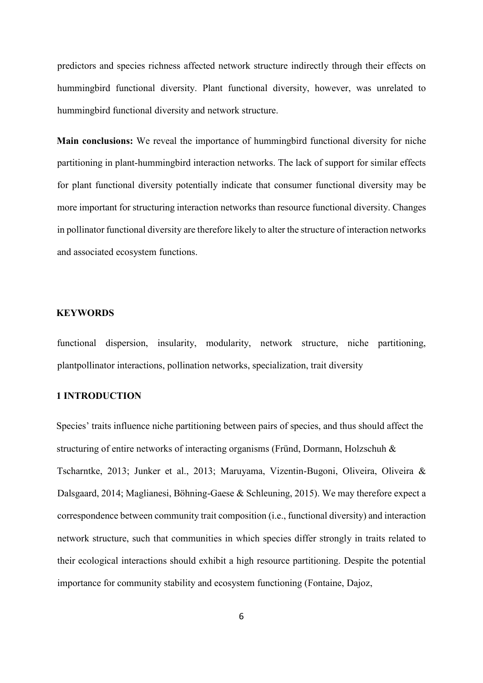predictors and species richness affected network structure indirectly through their effects on hummingbird functional diversity. Plant functional diversity, however, was unrelated to hummingbird functional diversity and network structure.

**Main conclusions:** We reveal the importance of hummingbird functional diversity for niche partitioning in plant-hummingbird interaction networks. The lack of support for similar effects for plant functional diversity potentially indicate that consumer functional diversity may be more important for structuring interaction networks than resource functional diversity. Changes in pollinator functional diversity are therefore likely to alter the structure of interaction networks and associated ecosystem functions.

# **KEYWORDS**

functional dispersion, insularity, modularity, network structure, niche partitioning, plantpollinator interactions, pollination networks, specialization, trait diversity

# **1 INTRODUCTION**

Species' traits influence niche partitioning between pairs of species, and thus should affect the structuring of entire networks of interacting organisms (Fründ, Dormann, Holzschuh & Tscharntke, 2013; Junker et al., 2013; Maruyama, Vizentin-Bugoni, Oliveira, Oliveira & Dalsgaard, 2014; Maglianesi, Böhning-Gaese & Schleuning, 2015). We may therefore expect a correspondence between community trait composition (i.e., functional diversity) and interaction network structure, such that communities in which species differ strongly in traits related to their ecological interactions should exhibit a high resource partitioning. Despite the potential importance for community stability and ecosystem functioning (Fontaine, Dajoz,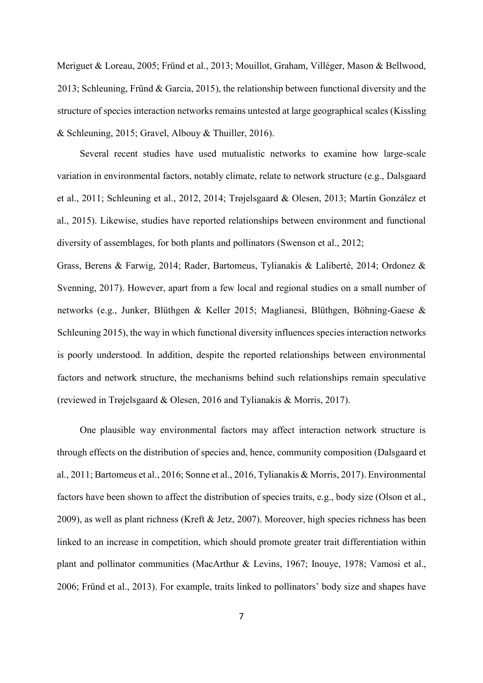Meriguet & Loreau, 2005; Fründ et al., 2013; Mouillot, Graham, Villéger, Mason & Bellwood, 2013; Schleuning, Fründ & Garcia, 2015), the relationship between functional diversity and the structure of species interaction networks remains untested at large geographical scales (Kissling & Schleuning, 2015; Gravel, Albouy & Thuiller, 2016).

Several recent studies have used mutualistic networks to examine how large-scale variation in environmental factors, notably climate, relate to network structure (e.g., Dalsgaard et al., 2011; Schleuning et al., 2012, 2014; Trøjelsgaard & Olesen, 2013; Martín González et al., 2015). Likewise, studies have reported relationships between environment and functional diversity of assemblages, for both plants and pollinators (Swenson et al., 2012;

Grass, Berens & Farwig, 2014; Rader, Bartomeus, Tylianakis & Laliberté, 2014; Ordonez & Svenning, 2017). However, apart from a few local and regional studies on a small number of networks (e.g., Junker, Blüthgen & Keller 2015; Maglianesi, Blüthgen, Böhning-Gaese & Schleuning 2015), the way in which functional diversity influences species interaction networks is poorly understood. In addition, despite the reported relationships between environmental factors and network structure, the mechanisms behind such relationships remain speculative (reviewed in Trøjelsgaard & Olesen, 2016 and Tylianakis & Morris, 2017).

One plausible way environmental factors may affect interaction network structure is through effects on the distribution of species and, hence, community composition (Dalsgaard et al., 2011; Bartomeus et al., 2016; Sonne et al., 2016, Tylianakis & Morris, 2017). Environmental factors have been shown to affect the distribution of species traits, e.g., body size (Olson et al., 2009), as well as plant richness (Kreft & Jetz, 2007). Moreover, high species richness has been linked to an increase in competition, which should promote greater trait differentiation within plant and pollinator communities (MacArthur & Levins, 1967; Inouye, 1978; Vamosi et al., 2006; Fründ et al., 2013). For example, traits linked to pollinators' body size and shapes have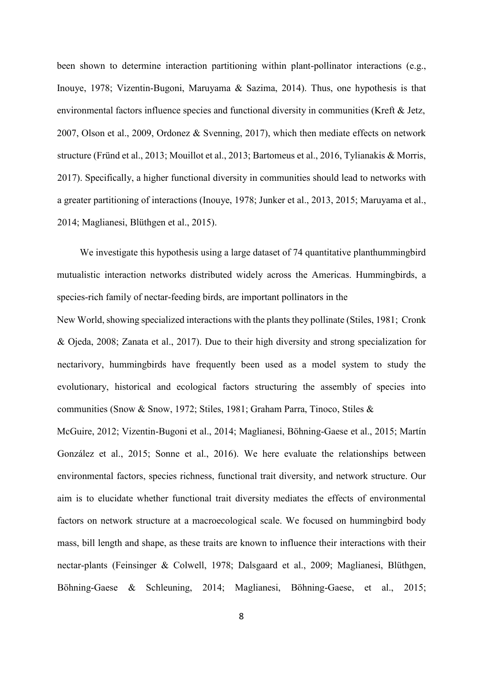been shown to determine interaction partitioning within plant-pollinator interactions (e.g., Inouye, 1978; Vizentin-Bugoni, Maruyama & Sazima, 2014). Thus, one hypothesis is that environmental factors influence species and functional diversity in communities (Kreft & Jetz, 2007, Olson et al., 2009, Ordonez & Svenning, 2017), which then mediate effects on network structure (Fründ et al., 2013; Mouillot et al., 2013; Bartomeus et al., 2016, Tylianakis & Morris, 2017). Specifically, a higher functional diversity in communities should lead to networks with a greater partitioning of interactions (Inouye, 1978; Junker et al., 2013, 2015; Maruyama et al., 2014; Maglianesi, Blüthgen et al., 2015).

We investigate this hypothesis using a large dataset of 74 quantitative planthummingbird mutualistic interaction networks distributed widely across the Americas. Hummingbirds, a species-rich family of nectar-feeding birds, are important pollinators in the

New World, showing specialized interactions with the plants they pollinate (Stiles, 1981; Cronk & Ojeda, 2008; Zanata et al., 2017). Due to their high diversity and strong specialization for nectarivory, hummingbirds have frequently been used as a model system to study the evolutionary, historical and ecological factors structuring the assembly of species into communities (Snow & Snow, 1972; Stiles, 1981; Graham Parra, Tinoco, Stiles &

McGuire, 2012; Vizentin-Bugoni et al., 2014; Maglianesi, Böhning-Gaese et al., 2015; Martín González et al., 2015; Sonne et al., 2016). We here evaluate the relationships between environmental factors, species richness, functional trait diversity, and network structure. Our aim is to elucidate whether functional trait diversity mediates the effects of environmental factors on network structure at a macroecological scale. We focused on hummingbird body mass, bill length and shape, as these traits are known to influence their interactions with their nectar-plants (Feinsinger & Colwell, 1978; Dalsgaard et al., 2009; Maglianesi, Blüthgen, Böhning-Gaese & Schleuning, 2014; Maglianesi, Böhning-Gaese, et al., 2015;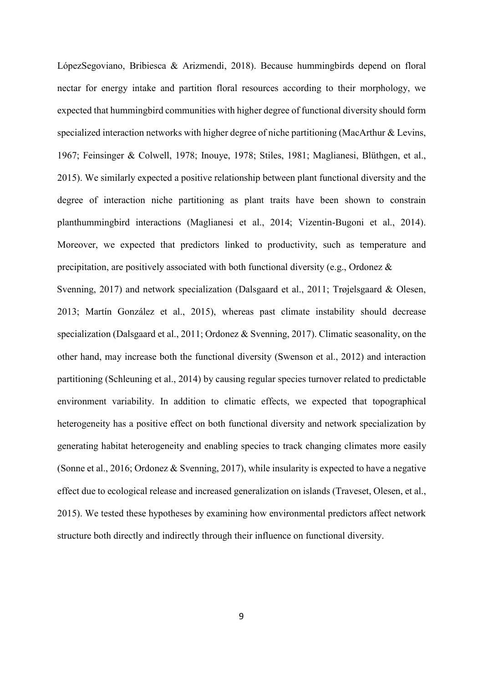LópezSegoviano, Bribiesca & Arizmendi, 2018). Because hummingbirds depend on floral nectar for energy intake and partition floral resources according to their morphology, we expected that hummingbird communities with higher degree of functional diversity should form specialized interaction networks with higher degree of niche partitioning (MacArthur & Levins, 1967; Feinsinger & Colwell, 1978; Inouye, 1978; Stiles, 1981; Maglianesi, Blüthgen, et al., 2015). We similarly expected a positive relationship between plant functional diversity and the degree of interaction niche partitioning as plant traits have been shown to constrain planthummingbird interactions (Maglianesi et al., 2014; Vizentin-Bugoni et al., 2014). Moreover, we expected that predictors linked to productivity, such as temperature and precipitation, are positively associated with both functional diversity (e.g., Ordonez & Svenning, 2017) and network specialization (Dalsgaard et al., 2011; Trøjelsgaard & Olesen, 2013; Martín González et al., 2015), whereas past climate instability should decrease specialization (Dalsgaard et al., 2011; Ordonez & Svenning, 2017). Climatic seasonality, on the other hand, may increase both the functional diversity (Swenson et al., 2012) and interaction partitioning (Schleuning et al., 2014) by causing regular species turnover related to predictable environment variability. In addition to climatic effects, we expected that topographical heterogeneity has a positive effect on both functional diversity and network specialization by generating habitat heterogeneity and enabling species to track changing climates more easily (Sonne et al., 2016; Ordonez & Svenning, 2017), while insularity is expected to have a negative effect due to ecological release and increased generalization on islands (Traveset, Olesen, et al., 2015). We tested these hypotheses by examining how environmental predictors affect network structure both directly and indirectly through their influence on functional diversity.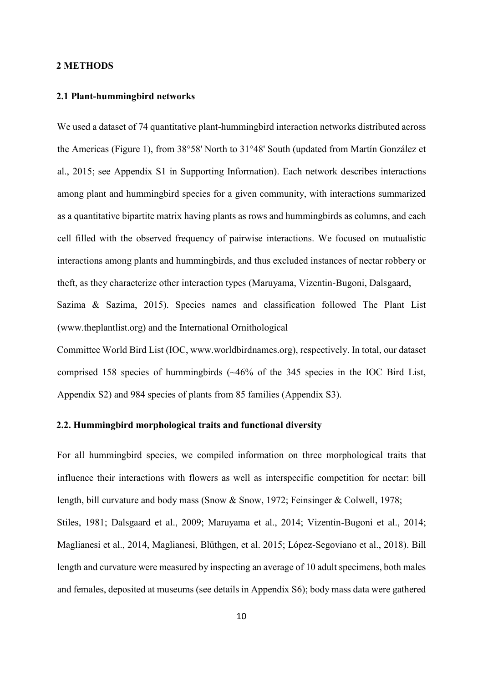#### **2 METHODS**

## **2.1 Plant-hummingbird networks**

We used a dataset of 74 quantitative plant-hummingbird interaction networks distributed across the Americas (Figure 1), from 38°58' North to 31°48' South (updated from Martín González et al., 2015; see Appendix S1 in Supporting Information). Each network describes interactions among plant and hummingbird species for a given community, with interactions summarized as a quantitative bipartite matrix having plants as rows and hummingbirds as columns, and each cell filled with the observed frequency of pairwise interactions. We focused on mutualistic interactions among plants and hummingbirds, and thus excluded instances of nectar robbery or theft, as they characterize other interaction types (Maruyama, Vizentin-Bugoni, Dalsgaard, Sazima & Sazima, 2015). Species names and classification followed The Plant List (www.theplantlist.org) and the International Ornithological

Committee World Bird List (IOC, www.worldbirdnames.org), respectively. In total, our dataset comprised 158 species of hummingbirds (~46% of the 345 species in the IOC Bird List, Appendix S2) and 984 species of plants from 85 families (Appendix S3).

# **2.2. Hummingbird morphological traits and functional diversity**

For all hummingbird species, we compiled information on three morphological traits that influence their interactions with flowers as well as interspecific competition for nectar: bill length, bill curvature and body mass (Snow & Snow, 1972; Feinsinger & Colwell, 1978; Stiles, 1981; Dalsgaard et al., 2009; Maruyama et al., 2014; Vizentin-Bugoni et al., 2014; Maglianesi et al., 2014, Maglianesi, Blüthgen, et al. 2015; López-Segoviano et al., 2018). Bill length and curvature were measured by inspecting an average of 10 adult specimens, both males and females, deposited at museums (see details in Appendix S6); body mass data were gathered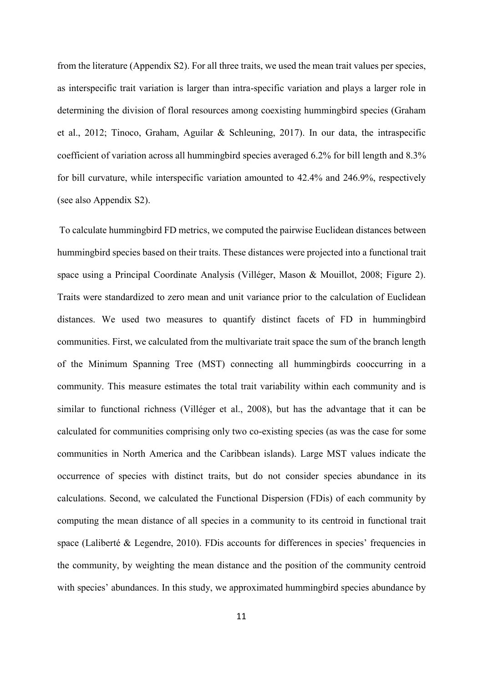from the literature (Appendix S2). For all three traits, we used the mean trait values per species, as interspecific trait variation is larger than intra-specific variation and plays a larger role in determining the division of floral resources among coexisting hummingbird species (Graham et al., 2012; Tinoco, Graham, Aguilar & Schleuning, 2017). In our data, the intraspecific coefficient of variation across all hummingbird species averaged 6.2% for bill length and 8.3% for bill curvature, while interspecific variation amounted to 42.4% and 246.9%, respectively (see also Appendix S2).

To calculate hummingbird FD metrics, we computed the pairwise Euclidean distances between hummingbird species based on their traits. These distances were projected into a functional trait space using a Principal Coordinate Analysis (Villéger, Mason & Mouillot, 2008; Figure 2). Traits were standardized to zero mean and unit variance prior to the calculation of Euclidean distances. We used two measures to quantify distinct facets of FD in hummingbird communities. First, we calculated from the multivariate trait space the sum of the branch length of the Minimum Spanning Tree (MST) connecting all hummingbirds cooccurring in a community. This measure estimates the total trait variability within each community and is similar to functional richness (Villéger et al., 2008), but has the advantage that it can be calculated for communities comprising only two co-existing species (as was the case for some communities in North America and the Caribbean islands). Large MST values indicate the occurrence of species with distinct traits, but do not consider species abundance in its calculations. Second, we calculated the Functional Dispersion (FDis) of each community by computing the mean distance of all species in a community to its centroid in functional trait space (Laliberté & Legendre, 2010). FDis accounts for differences in species' frequencies in the community, by weighting the mean distance and the position of the community centroid with species' abundances. In this study, we approximated hummingbird species abundance by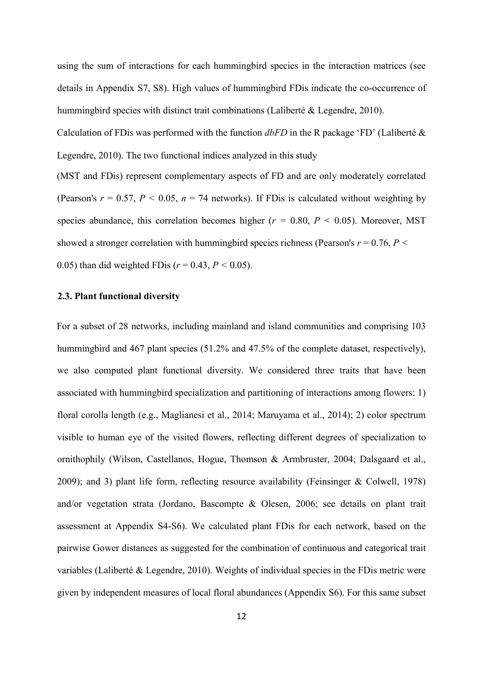using the sum of interactions for each hummingbird species in the interaction matrices (see details in Appendix S7, S8). High values of hummingbird FDis indicate the co-occurrence of hummingbird species with distinct trait combinations (Laliberté & Legendre, 2010).

Calculation of FDis was performed with the function *dbFD* in the R package 'FD' (Laliberté & Legendre, 2010). The two functional indices analyzed in this study

(MST and FDis) represent complementary aspects of FD and are only moderately correlated (Pearson's  $r = 0.57$ ,  $P < 0.05$ ,  $n = 74$  networks). If FDis is calculated without weighting by species abundance, this correlation becomes higher ( $r = 0.80, P < 0.05$ ). Moreover, MST showed a stronger correlation with hummingbird species richness (Pearson's  $r = 0.76$ ,  $P <$ 0.05) than did weighted FDis ( $r = 0.43, P \le 0.05$ ).

#### **2.3. Plant functional diversity**

For a subset of 28 networks, including mainland and island communities and comprising 103 hummingbird and 467 plant species (51.2% and 47.5% of the complete dataset, respectively), we also computed plant functional diversity. We considered three traits that have been associated with hummingbird specialization and partitioning of interactions among flowers: 1) floral corolla length (e.g., Maglianesi et al., 2014; Maruyama et al., 2014); 2) color spectrum visible to human eye of the visited flowers, reflecting different degrees of specialization to ornithophily (Wilson, Castellanos, Hogue, Thomson & Armbruster, 2004; Dalsgaard et al., 2009); and 3) plant life form, reflecting resource availability (Feinsinger & Colwell, 1978) and/or vegetation strata (Jordano, Bascompte & Olesen, 2006; see details on plant trait assessment at Appendix S4-S6). We calculated plant FDis for each network, based on the pairwise Gower distances as suggested for the combination of continuous and categorical trait variables (Laliberté & Legendre, 2010). Weights of individual species in the FDis metric were given by independent measures of local floral abundances (Appendix S6). For this same subset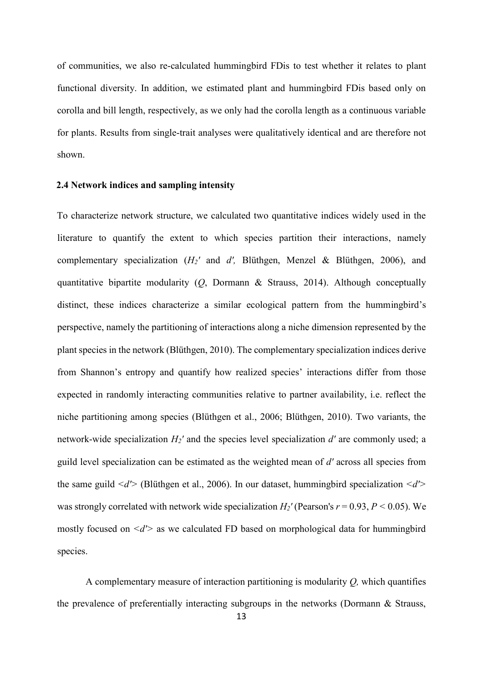of communities, we also re-calculated hummingbird FDis to test whether it relates to plant functional diversity. In addition, we estimated plant and hummingbird FDis based only on corolla and bill length, respectively, as we only had the corolla length as a continuous variable for plants. Results from single-trait analyses were qualitatively identical and are therefore not shown.

#### **2.4 Network indices and sampling intensity**

To characterize network structure, we calculated two quantitative indices widely used in the literature to quantify the extent to which species partition their interactions, namely complementary specialization (*H2'* and *d',* Blüthgen, Menzel & Blüthgen, 2006), and quantitative bipartite modularity (*Q*, Dormann & Strauss, 2014). Although conceptually distinct, these indices characterize a similar ecological pattern from the hummingbird's perspective, namely the partitioning of interactions along a niche dimension represented by the plant species in the network (Blüthgen, 2010). The complementary specialization indices derive from Shannon's entropy and quantify how realized species' interactions differ from those expected in randomly interacting communities relative to partner availability, i.e. reflect the niche partitioning among species (Blüthgen et al., 2006; Blüthgen, 2010). Two variants, the network-wide specialization *H2'* and the species level specialization *d'* are commonly used; a guild level specialization can be estimated as the weighted mean of *d'* across all species from the same guild *<d'>* (Blüthgen et al., 2006). In our dataset, hummingbird specialization *<d'>*  was strongly correlated with network wide specialization  $H_2$ <sup>'</sup> (Pearson's  $r = 0.93$ ,  $P < 0.05$ ). We mostly focused on *<d'>* as we calculated FD based on morphological data for hummingbird species.

A complementary measure of interaction partitioning is modularity *Q,* which quantifies the prevalence of preferentially interacting subgroups in the networks (Dormann & Strauss,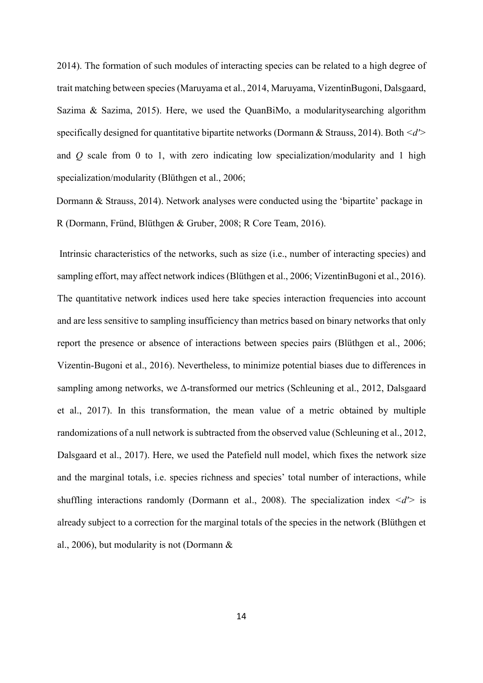2014). The formation of such modules of interacting species can be related to a high degree of trait matching between species (Maruyama et al., 2014, Maruyama, VizentinBugoni, Dalsgaard, Sazima & Sazima, 2015). Here, we used the QuanBiMo, a modularitysearching algorithm specifically designed for quantitative bipartite networks (Dormann & Strauss, 2014). Both *<d'>*  and *Q* scale from 0 to 1, with zero indicating low specialization/modularity and 1 high specialization/modularity (Blüthgen et al., 2006;

Dormann & Strauss, 2014). Network analyses were conducted using the 'bipartite' package in R (Dormann, Fründ, Blüthgen & Gruber, 2008; R Core Team, 2016).

Intrinsic characteristics of the networks, such as size (i.e., number of interacting species) and sampling effort, may affect network indices (Blüthgen et al., 2006; VizentinBugoni et al., 2016). The quantitative network indices used here take species interaction frequencies into account and are less sensitive to sampling insufficiency than metrics based on binary networks that only report the presence or absence of interactions between species pairs (Blüthgen et al., 2006; Vizentin-Bugoni et al., 2016). Nevertheless, to minimize potential biases due to differences in sampling among networks, we Δ-transformed our metrics (Schleuning et al., 2012, Dalsgaard et al., 2017). In this transformation, the mean value of a metric obtained by multiple randomizations of a null network is subtracted from the observed value (Schleuning et al., 2012, Dalsgaard et al., 2017). Here, we used the Patefield null model, which fixes the network size and the marginal totals, i.e. species richness and species' total number of interactions, while shuffling interactions randomly (Dormann et al., 2008). The specialization index *<d'>* is already subject to a correction for the marginal totals of the species in the network (Blüthgen et al., 2006), but modularity is not (Dormann &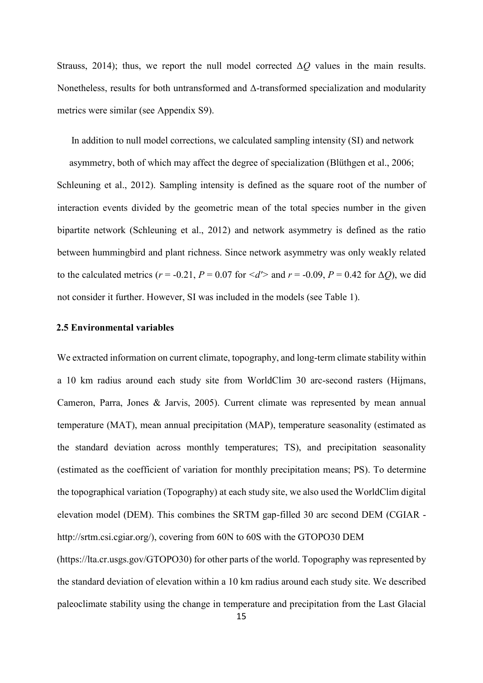Strauss, 2014); thus, we report the null model corrected  $\Delta Q$  values in the main results. Nonetheless, results for both untransformed and Δ-transformed specialization and modularity metrics were similar (see Appendix S9).

In addition to null model corrections, we calculated sampling intensity (SI) and network asymmetry, both of which may affect the degree of specialization (Blüthgen et al., 2006; Schleuning et al., 2012). Sampling intensity is defined as the square root of the number of interaction events divided by the geometric mean of the total species number in the given bipartite network (Schleuning et al., 2012) and network asymmetry is defined as the ratio between hummingbird and plant richness. Since network asymmetry was only weakly related to the calculated metrics ( $r = -0.21$ ,  $P = 0.07$  for  $\langle d' \rangle$  and  $r = -0.09$ ,  $P = 0.42$  for  $\Delta Q$ ), we did not consider it further. However, SI was included in the models (see Table 1).

#### **2.5 Environmental variables**

We extracted information on current climate, topography, and long-term climate stability within a 10 km radius around each study site from WorldClim 30 arc-second rasters (Hijmans, Cameron, Parra, Jones & Jarvis, 2005). Current climate was represented by mean annual temperature (MAT), mean annual precipitation (MAP), temperature seasonality (estimated as the standard deviation across monthly temperatures; TS), and precipitation seasonality (estimated as the coefficient of variation for monthly precipitation means; PS). To determine the topographical variation (Topography) at each study site, we also used the WorldClim digital elevation model (DEM). This combines the SRTM gap-filled 30 arc second DEM (CGIAR http://srtm.csi.cgiar.org/), covering from 60N to 60S with the GTOPO30 DEM

(https://lta.cr.usgs.gov/GTOPO30) for other parts of the world. Topography was represented by the standard deviation of elevation within a 10 km radius around each study site. We described paleoclimate stability using the change in temperature and precipitation from the Last Glacial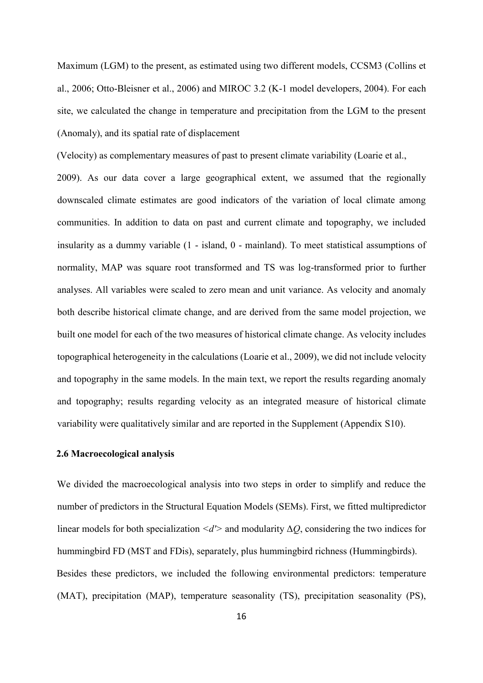Maximum (LGM) to the present, as estimated using two different models, CCSM3 (Collins et al., 2006; Otto-Bleisner et al., 2006) and MIROC 3.2 (K-1 model developers, 2004). For each site, we calculated the change in temperature and precipitation from the LGM to the present (Anomaly), and its spatial rate of displacement

(Velocity) as complementary measures of past to present climate variability (Loarie et al.,

2009). As our data cover a large geographical extent, we assumed that the regionally downscaled climate estimates are good indicators of the variation of local climate among communities. In addition to data on past and current climate and topography, we included insularity as a dummy variable (1 - island, 0 - mainland). To meet statistical assumptions of normality, MAP was square root transformed and TS was log-transformed prior to further analyses. All variables were scaled to zero mean and unit variance. As velocity and anomaly both describe historical climate change, and are derived from the same model projection, we built one model for each of the two measures of historical climate change. As velocity includes topographical heterogeneity in the calculations (Loarie et al., 2009), we did not include velocity and topography in the same models. In the main text, we report the results regarding anomaly and topography; results regarding velocity as an integrated measure of historical climate variability were qualitatively similar and are reported in the Supplement (Appendix S10).

### **2.6 Macroecological analysis**

We divided the macroecological analysis into two steps in order to simplify and reduce the number of predictors in the Structural Equation Models (SEMs). First, we fitted multipredictor linear models for both specialization  $\langle d' \rangle$  and modularity  $\Delta Q$ , considering the two indices for hummingbird FD (MST and FDis), separately, plus hummingbird richness (Hummingbirds). Besides these predictors, we included the following environmental predictors: temperature (MAT), precipitation (MAP), temperature seasonality (TS), precipitation seasonality (PS),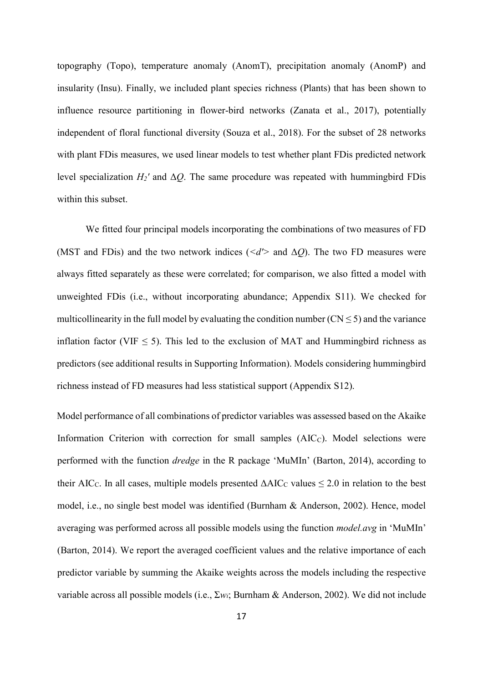topography (Topo), temperature anomaly (AnomT), precipitation anomaly (AnomP) and insularity (Insu). Finally, we included plant species richness (Plants) that has been shown to influence resource partitioning in flower-bird networks (Zanata et al., 2017), potentially independent of floral functional diversity (Souza et al., 2018). For the subset of 28 networks with plant FDis measures, we used linear models to test whether plant FDis predicted network level specialization *H2'* and Δ*Q*. The same procedure was repeated with hummingbird FDis within this subset.

We fitted four principal models incorporating the combinations of two measures of FD (MST and FDis) and the two network indices ( $\langle d' \rangle$  and  $\Delta Q$ ). The two FD measures were always fitted separately as these were correlated; for comparison, we also fitted a model with unweighted FDis (i.e., without incorporating abundance; Appendix S11). We checked for multicollinearity in the full model by evaluating the condition number  $(CN \le 5)$  and the variance inflation factor (VIF  $\leq$  5). This led to the exclusion of MAT and Hummingbird richness as predictors (see additional results in Supporting Information). Models considering hummingbird richness instead of FD measures had less statistical support (Appendix S12).

Model performance of all combinations of predictor variables was assessed based on the Akaike Information Criterion with correction for small samples  $(AIC<sub>C</sub>)$ . Model selections were performed with the function *dredge* in the R package 'MuMIn' (Barton, 2014), according to their AIC<sub>C</sub>. In all cases, multiple models presented  $\Delta AIC_C$  values  $\leq 2.0$  in relation to the best model, i.e., no single best model was identified (Burnham & Anderson, 2002). Hence, model averaging was performed across all possible models using the function *model.avg* in 'MuMIn' (Barton, 2014). We report the averaged coefficient values and the relative importance of each predictor variable by summing the Akaike weights across the models including the respective variable across all possible models (i.e., Σ*wi*; Burnham & Anderson, 2002). We did not include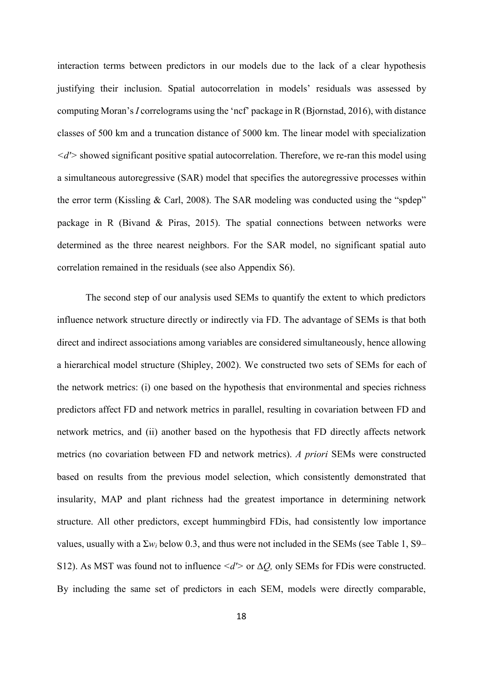interaction terms between predictors in our models due to the lack of a clear hypothesis justifying their inclusion. Spatial autocorrelation in models' residuals was assessed by computing Moran's *I* correlograms using the 'ncf' package in R (Bjornstad, 2016), with distance classes of 500 km and a truncation distance of 5000 km. The linear model with specialization *<d'>* showed significant positive spatial autocorrelation. Therefore, we re-ran this model using a simultaneous autoregressive (SAR) model that specifies the autoregressive processes within the error term (Kissling & Carl, 2008). The SAR modeling was conducted using the "spdep" package in R (Bivand & Piras, 2015). The spatial connections between networks were determined as the three nearest neighbors. For the SAR model, no significant spatial auto correlation remained in the residuals (see also Appendix S6).

The second step of our analysis used SEMs to quantify the extent to which predictors influence network structure directly or indirectly via FD. The advantage of SEMs is that both direct and indirect associations among variables are considered simultaneously, hence allowing a hierarchical model structure (Shipley, 2002). We constructed two sets of SEMs for each of the network metrics: (i) one based on the hypothesis that environmental and species richness predictors affect FD and network metrics in parallel, resulting in covariation between FD and network metrics, and (ii) another based on the hypothesis that FD directly affects network metrics (no covariation between FD and network metrics). *A priori* SEMs were constructed based on results from the previous model selection, which consistently demonstrated that insularity, MAP and plant richness had the greatest importance in determining network structure. All other predictors, except hummingbird FDis, had consistently low importance values, usually with a  $\Sigma w_i$  below 0.3, and thus were not included in the SEMs (see Table 1, S9– S12). As MST was found not to influence *<d'>* or Δ*Q,* only SEMs for FDis were constructed. By including the same set of predictors in each SEM, models were directly comparable,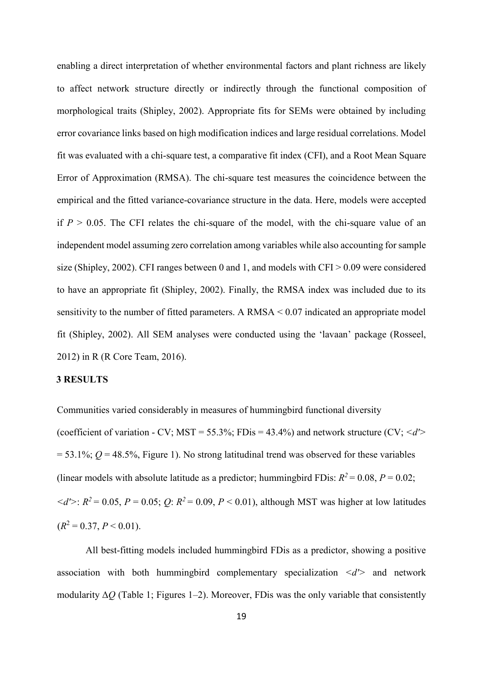enabling a direct interpretation of whether environmental factors and plant richness are likely to affect network structure directly or indirectly through the functional composition of morphological traits (Shipley, 2002). Appropriate fits for SEMs were obtained by including error covariance links based on high modification indices and large residual correlations. Model fit was evaluated with a chi-square test, a comparative fit index (CFI), and a Root Mean Square Error of Approximation (RMSA). The chi-square test measures the coincidence between the empirical and the fitted variance-covariance structure in the data. Here, models were accepted if  $P > 0.05$ . The CFI relates the chi-square of the model, with the chi-square value of an independent model assuming zero correlation among variables while also accounting for sample size (Shipley, 2002). CFI ranges between 0 and 1, and models with CFI > 0.09 were considered to have an appropriate fit (Shipley, 2002). Finally, the RMSA index was included due to its sensitivity to the number of fitted parameters. A  $\text{RMSA} < 0.07$  indicated an appropriate model fit (Shipley, 2002). All SEM analyses were conducted using the 'lavaan' package (Rosseel, 2012) in R (R Core Team, 2016).

## **3 RESULTS**

Communities varied considerably in measures of hummingbird functional diversity (coefficient of variation - CV; MST =  $55.3\%$ ; FDis =  $43.4\%$ ) and network structure (CV;  $\langle d' \rangle$  $= 53.1\%$ ;  $Q = 48.5\%$ , Figure 1). No strong latitudinal trend was observed for these variables (linear models with absolute latitude as a predictor; hummingbird FDis:  $R^2 = 0.08$ ,  $P = 0.02$ ;  $d'$ :  $R^2 = 0.05$ ,  $P = 0.05$ ;  $Q$ :  $R^2 = 0.09$ ,  $P < 0.01$ ), although MST was higher at low latitudes  $(R<sup>2</sup> = 0.37, P < 0.01).$ 

All best-fitting models included hummingbird FDis as a predictor, showing a positive association with both hummingbird complementary specialization  $\langle d' \rangle$  and network modularity Δ*Q* (Table 1; Figures 1–2). Moreover, FDis was the only variable that consistently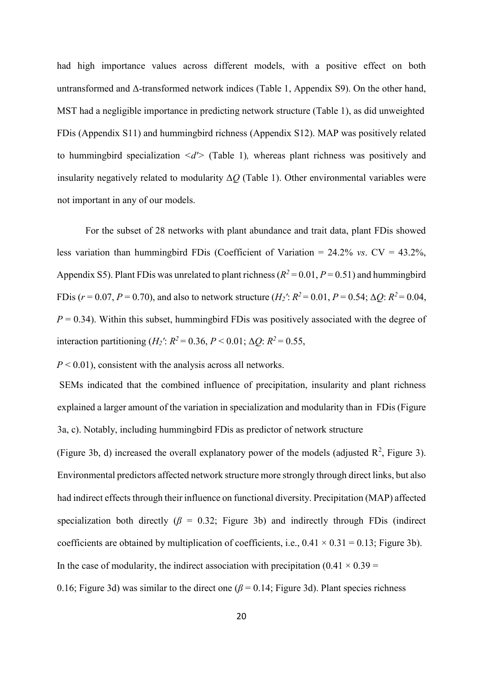had high importance values across different models, with a positive effect on both untransformed and Δ-transformed network indices (Table 1, Appendix S9). On the other hand, MST had a negligible importance in predicting network structure (Table 1), as did unweighted FDis (Appendix S11) and hummingbird richness (Appendix S12). MAP was positively related to hummingbird specialization *<d'>* (Table 1)*,* whereas plant richness was positively and insularity negatively related to modularity Δ*Q* (Table 1). Other environmental variables were not important in any of our models.

For the subset of 28 networks with plant abundance and trait data, plant FDis showed less variation than hummingbird FDis (Coefficient of Variation = 24.2% *vs*. CV = 43.2%, Appendix S5). Plant FDis was unrelated to plant richness ( $R^2 = 0.01$ ,  $P = 0.51$ ) and hummingbird FDis ( $r = 0.07, P = 0.70$ ), and also to network structure ( $H_2$ <sup>'</sup>:  $R^2 = 0.01, P = 0.54$ ;  $\Delta Q$ :  $R^2 = 0.04$ ,  $P = 0.34$ ). Within this subset, hummingbird FD is was positively associated with the degree of interaction partitioning (*H*<sub>2</sub><sup>*'*</sup>: *R*<sup>2</sup> = 0.36, *P* < 0.01; Δ*Q*: *R*<sup>2</sup> = 0.55,

*P* < 0.01), consistent with the analysis across all networks.

SEMs indicated that the combined influence of precipitation, insularity and plant richness explained a larger amount of the variation in specialization and modularity than in FDis (Figure 3a, c). Notably, including hummingbird FDis as predictor of network structure

(Figure 3b, d) increased the overall explanatory power of the models (adjusted  $\mathbb{R}^2$ , Figure 3). Environmental predictors affected network structure more strongly through direct links, but also had indirect effects through their influence on functional diversity. Precipitation (MAP) affected specialization both directly ( $\beta$  = 0.32; Figure 3b) and indirectly through FDis (indirect coefficients are obtained by multiplication of coefficients, i.e.,  $0.41 \times 0.31 = 0.13$ ; Figure 3b). In the case of modularity, the indirect association with precipitation (0.41  $\times$  0.39 =

0.16; Figure 3d) was similar to the direct one  $(\beta = 0.14;$  Figure 3d). Plant species richness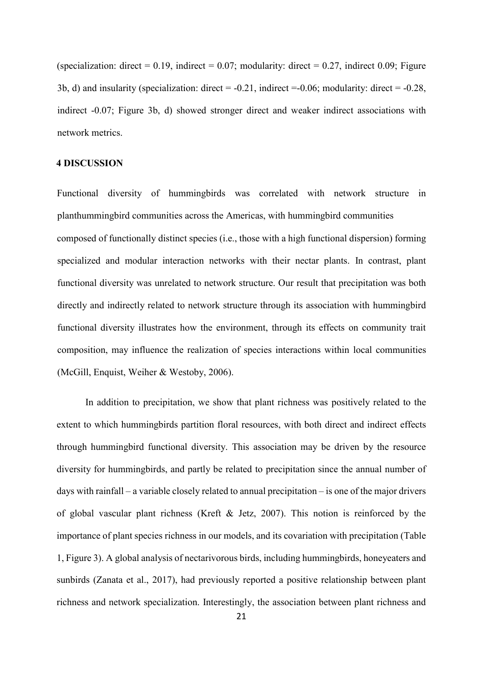(specialization: direct =  $0.19$ , indirect =  $0.07$ ; modularity: direct =  $0.27$ , indirect 0.09; Figure 3b, d) and insularity (specialization: direct =  $-0.21$ , indirect =  $-0.06$ ; modularity: direct =  $-0.28$ , indirect -0.07; Figure 3b, d) showed stronger direct and weaker indirect associations with network metrics.

#### **4 DISCUSSION**

Functional diversity of hummingbirds was correlated with network structure in planthummingbird communities across the Americas, with hummingbird communities composed of functionally distinct species (i.e., those with a high functional dispersion) forming specialized and modular interaction networks with their nectar plants. In contrast, plant functional diversity was unrelated to network structure. Our result that precipitation was both directly and indirectly related to network structure through its association with hummingbird functional diversity illustrates how the environment, through its effects on community trait composition, may influence the realization of species interactions within local communities (McGill, Enquist, Weiher & Westoby, 2006).

In addition to precipitation, we show that plant richness was positively related to the extent to which hummingbirds partition floral resources, with both direct and indirect effects through hummingbird functional diversity. This association may be driven by the resource diversity for hummingbirds, and partly be related to precipitation since the annual number of days with rainfall – a variable closely related to annual precipitation – is one of the major drivers of global vascular plant richness (Kreft & Jetz, 2007). This notion is reinforced by the importance of plant species richness in our models, and its covariation with precipitation (Table 1, Figure 3). A global analysis of nectarivorous birds, including hummingbirds, honeyeaters and sunbirds (Zanata et al., 2017), had previously reported a positive relationship between plant richness and network specialization. Interestingly, the association between plant richness and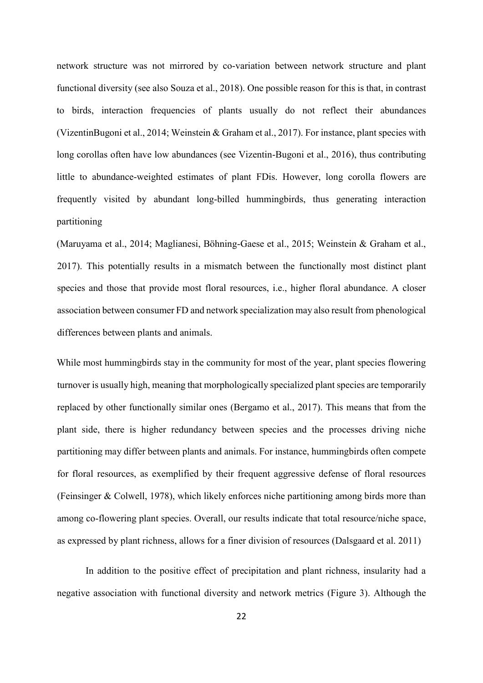network structure was not mirrored by co-variation between network structure and plant functional diversity (see also Souza et al., 2018). One possible reason for this is that, in contrast to birds, interaction frequencies of plants usually do not reflect their abundances (VizentinBugoni et al., 2014; Weinstein & Graham et al., 2017). For instance, plant species with long corollas often have low abundances (see Vizentin-Bugoni et al., 2016), thus contributing little to abundance-weighted estimates of plant FDis. However, long corolla flowers are frequently visited by abundant long-billed hummingbirds, thus generating interaction partitioning

(Maruyama et al., 2014; Maglianesi, Böhning-Gaese et al., 2015; Weinstein & Graham et al., 2017). This potentially results in a mismatch between the functionally most distinct plant species and those that provide most floral resources, i.e., higher floral abundance. A closer association between consumer FD and network specialization may also result from phenological differences between plants and animals.

While most hummingbirds stay in the community for most of the year, plant species flowering turnover is usually high, meaning that morphologically specialized plant species are temporarily replaced by other functionally similar ones (Bergamo et al., 2017). This means that from the plant side, there is higher redundancy between species and the processes driving niche partitioning may differ between plants and animals. For instance, hummingbirds often compete for floral resources, as exemplified by their frequent aggressive defense of floral resources (Feinsinger & Colwell, 1978), which likely enforces niche partitioning among birds more than among co-flowering plant species. Overall, our results indicate that total resource/niche space, as expressed by plant richness, allows for a finer division of resources (Dalsgaard et al. 2011)

In addition to the positive effect of precipitation and plant richness, insularity had a negative association with functional diversity and network metrics (Figure 3). Although the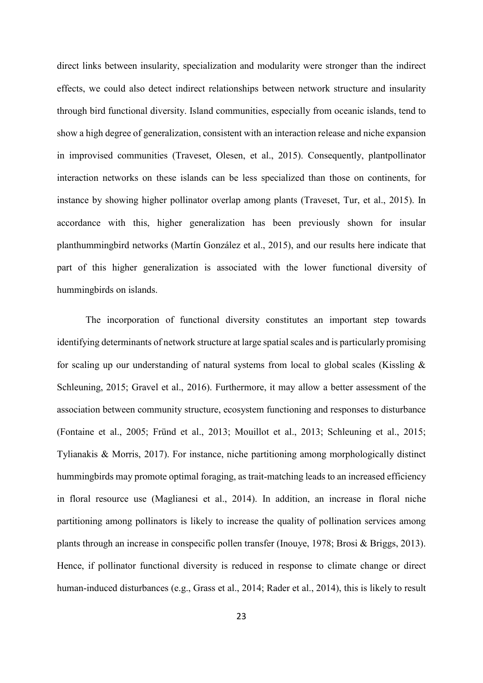direct links between insularity, specialization and modularity were stronger than the indirect effects, we could also detect indirect relationships between network structure and insularity through bird functional diversity. Island communities, especially from oceanic islands, tend to show a high degree of generalization, consistent with an interaction release and niche expansion in improvised communities (Traveset, Olesen, et al., 2015). Consequently, plantpollinator interaction networks on these islands can be less specialized than those on continents, for instance by showing higher pollinator overlap among plants (Traveset, Tur, et al., 2015). In accordance with this, higher generalization has been previously shown for insular planthummingbird networks (Martín González et al., 2015), and our results here indicate that part of this higher generalization is associated with the lower functional diversity of hummingbirds on islands.

The incorporation of functional diversity constitutes an important step towards identifying determinants of network structure at large spatial scales and is particularly promising for scaling up our understanding of natural systems from local to global scales (Kissling & Schleuning, 2015; Gravel et al., 2016). Furthermore, it may allow a better assessment of the association between community structure, ecosystem functioning and responses to disturbance (Fontaine et al., 2005; Fründ et al., 2013; Mouillot et al., 2013; Schleuning et al., 2015; Tylianakis & Morris, 2017). For instance, niche partitioning among morphologically distinct hummingbirds may promote optimal foraging, as trait-matching leads to an increased efficiency in floral resource use (Maglianesi et al., 2014). In addition, an increase in floral niche partitioning among pollinators is likely to increase the quality of pollination services among plants through an increase in conspecific pollen transfer (Inouye, 1978; Brosi & Briggs, 2013). Hence, if pollinator functional diversity is reduced in response to climate change or direct human-induced disturbances (e.g., Grass et al., 2014; Rader et al., 2014), this is likely to result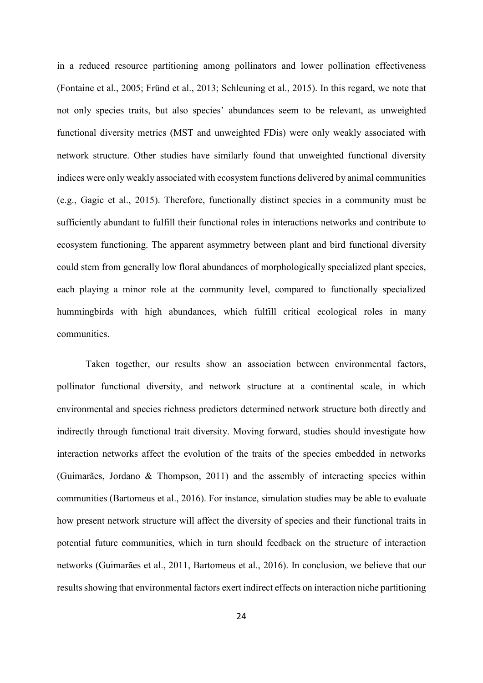in a reduced resource partitioning among pollinators and lower pollination effectiveness (Fontaine et al., 2005; Fründ et al., 2013; Schleuning et al., 2015). In this regard, we note that not only species traits, but also species' abundances seem to be relevant, as unweighted functional diversity metrics (MST and unweighted FDis) were only weakly associated with network structure. Other studies have similarly found that unweighted functional diversity indices were only weakly associated with ecosystem functions delivered by animal communities (e.g., Gagic et al., 2015). Therefore, functionally distinct species in a community must be sufficiently abundant to fulfill their functional roles in interactions networks and contribute to ecosystem functioning. The apparent asymmetry between plant and bird functional diversity could stem from generally low floral abundances of morphologically specialized plant species, each playing a minor role at the community level, compared to functionally specialized hummingbirds with high abundances, which fulfill critical ecological roles in many communities.

Taken together, our results show an association between environmental factors, pollinator functional diversity, and network structure at a continental scale, in which environmental and species richness predictors determined network structure both directly and indirectly through functional trait diversity. Moving forward, studies should investigate how interaction networks affect the evolution of the traits of the species embedded in networks (Guimarães, Jordano & Thompson, 2011) and the assembly of interacting species within communities (Bartomeus et al., 2016). For instance, simulation studies may be able to evaluate how present network structure will affect the diversity of species and their functional traits in potential future communities, which in turn should feedback on the structure of interaction networks (Guimarães et al., 2011, Bartomeus et al., 2016). In conclusion, we believe that our results showing that environmental factors exert indirect effects on interaction niche partitioning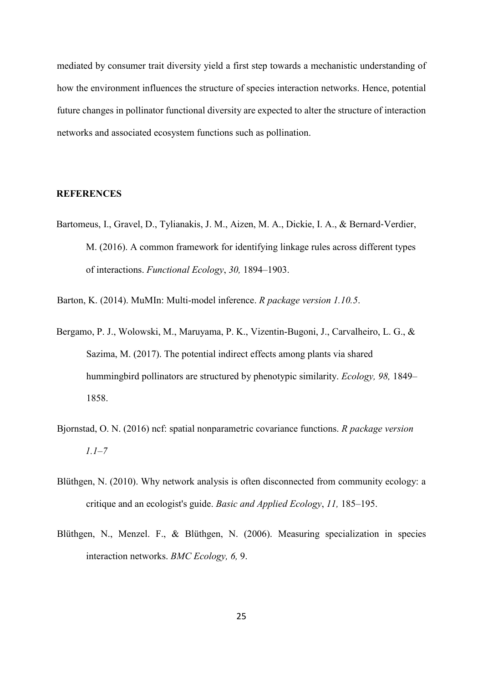mediated by consumer trait diversity yield a first step towards a mechanistic understanding of how the environment influences the structure of species interaction networks. Hence, potential future changes in pollinator functional diversity are expected to alter the structure of interaction networks and associated ecosystem functions such as pollination.

### **REFERENCES**

Bartomeus, I., Gravel, D., Tylianakis, J. M., Aizen, M. A., Dickie, I. A., & Bernard‐Verdier, M. (2016). A common framework for identifying linkage rules across different types of interactions. *Functional Ecology*, *30,* 1894–1903.

Barton, K. (2014). MuMIn: Multi-model inference. *R package version 1.10.5*.

- Bergamo, P. J., Wolowski, M., Maruyama, P. K., Vizentin‐Bugoni, J., Carvalheiro, L. G., & Sazima, M. (2017). The potential indirect effects among plants via shared hummingbird pollinators are structured by phenotypic similarity. *Ecology, 98,* 1849– 1858.
- Bjornstad, O. N. (2016) ncf: spatial nonparametric covariance functions. *R package version 1.1–7*
- Blüthgen, N. (2010). Why network analysis is often disconnected from community ecology: a critique and an ecologist's guide. *Basic and Applied Ecology*, *11,* 185–195.
- Blüthgen, N., Menzel. F., & Blüthgen, N. (2006). Measuring specialization in species interaction networks. *BMC Ecology, 6,* 9.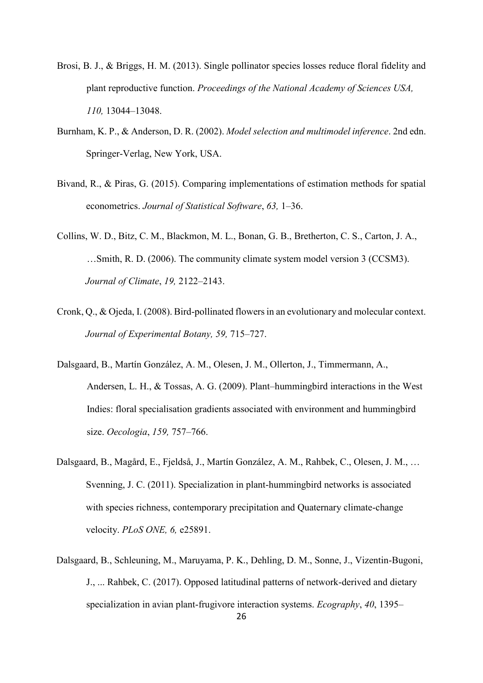- Brosi, B. J., & Briggs, H. M. (2013). Single pollinator species losses reduce floral fidelity and plant reproductive function. *Proceedings of the National Academy of Sciences USA, 110,* 13044–13048.
- Burnham, K. P., & Anderson, D. R. (2002). *Model selection and multimodel inference*. 2nd edn. Springer-Verlag, New York, USA.
- Bivand, R., & Piras, G. (2015). Comparing implementations of estimation methods for spatial econometrics. *Journal of Statistical Software*, *63,* 1–36.
- Collins, W. D., Bitz, C. M., Blackmon, M. L., Bonan, G. B., Bretherton, C. S., Carton, J. A., …Smith, R. D. (2006). The community climate system model version 3 (CCSM3). *Journal of Climate*, *19,* 2122–2143.
- Cronk, Q., & Ojeda, I. (2008). Bird-pollinated flowers in an evolutionary and molecular context. *Journal of Experimental Botany, 59,* 715–727.
- Dalsgaard, B., Martín González, A. M., Olesen, J. M., Ollerton, J., Timmermann, A., Andersen, L. H., & Tossas, A. G. (2009). Plant–hummingbird interactions in the West Indies: floral specialisation gradients associated with environment and hummingbird size. *Oecologia*, *159,* 757–766.
- Dalsgaard, B., Magård, E., Fjeldså, J., Martín González, A. M., Rahbek, C., Olesen, J. M., … Svenning, J. C. (2011). Specialization in plant-hummingbird networks is associated with species richness, contemporary precipitation and Quaternary climate-change velocity. *PLoS ONE, 6,* e25891.
- Dalsgaard, B., Schleuning, M., Maruyama, P. K., Dehling, D. M., Sonne, J., Vizentin-Bugoni, J., ... Rahbek, C. (2017). Opposed latitudinal patterns of network-derived and dietary specialization in avian plant-frugivore interaction systems. *Ecography*, *40*, 1395–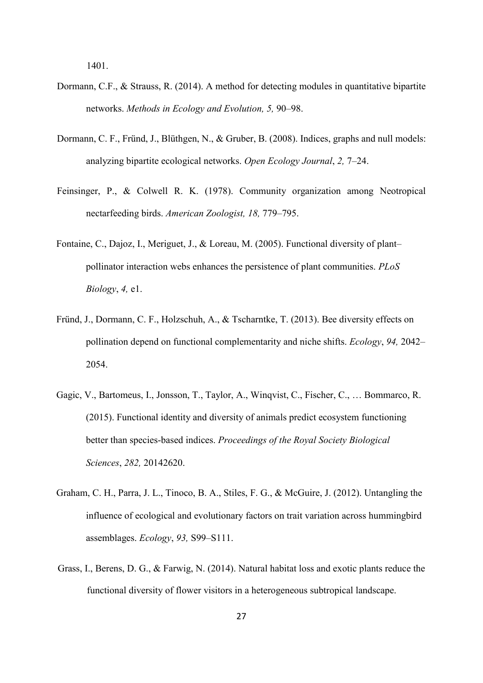1401.

- Dormann, C.F., & Strauss, R. (2014). A method for detecting modules in quantitative bipartite networks. *Methods in Ecology and Evolution, 5,* 90–98.
- Dormann, C. F., Fründ, J., Blüthgen, N., & Gruber, B. (2008). Indices, graphs and null models: analyzing bipartite ecological networks. *Open Ecology Journal*, *2,* 7–24.
- Feinsinger, P., & Colwell R. K. (1978). Community organization among Neotropical nectarfeeding birds. *American Zoologist, 18,* 779–795.
- Fontaine, C., Dajoz, I., Meriguet, J., & Loreau, M. (2005). Functional diversity of plant– pollinator interaction webs enhances the persistence of plant communities. *PLoS Biology*, *4,* e1.
- Fründ, J., Dormann, C. F., Holzschuh, A., & Tscharntke, T. (2013). Bee diversity effects on pollination depend on functional complementarity and niche shifts. *Ecology*, *94,* 2042– 2054.
- Gagic, V., Bartomeus, I., Jonsson, T., Taylor, A., Winqvist, C., Fischer, C., … Bommarco, R. (2015). Functional identity and diversity of animals predict ecosystem functioning better than species-based indices. *Proceedings of the Royal Society Biological Sciences*, *282,* 20142620.
- Graham, C. H., Parra, J. L., Tinoco, B. A., Stiles, F. G., & McGuire, J. (2012). Untangling the influence of ecological and evolutionary factors on trait variation across hummingbird assemblages. *Ecology*, *93,* S99–S111.
- Grass, I., Berens, D. G., & Farwig, N. (2014). Natural habitat loss and exotic plants reduce the functional diversity of flower visitors in a heterogeneous subtropical landscape.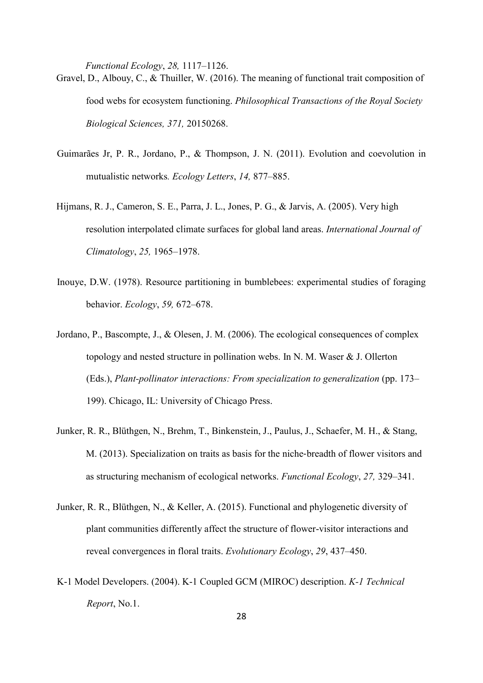*Functional Ecology*, *28,* 1117–1126.

- Gravel, D., Albouy, C., & Thuiller, W. (2016). The meaning of functional trait composition of food webs for ecosystem functioning. *Philosophical Transactions of the Royal Society Biological Sciences, 371,* 20150268.
- Guimarães Jr, P. R., Jordano, P., & Thompson, J. N. (2011). Evolution and coevolution in mutualistic networks*. Ecology Letters*, *14,* 877–885.
- Hijmans, R. J., Cameron, S. E., Parra, J. L., Jones, P. G., & Jarvis, A. (2005). Very high resolution interpolated climate surfaces for global land areas. *International Journal of Climatology*, *25,* 1965–1978.
- Inouye, D.W. (1978). Resource partitioning in bumblebees: experimental studies of foraging behavior. *Ecology*, *59,* 672–678.
- Jordano, P., Bascompte, J., & Olesen, J. M. (2006). The ecological consequences of complex topology and nested structure in pollination webs. In N. M. Waser & J. Ollerton (Eds.), *Plant-pollinator interactions: From specialization to generalization* (pp. 173– 199). Chicago, IL: University of Chicago Press.
- Junker, R. R., Blüthgen, N., Brehm, T., Binkenstein, J., Paulus, J., Schaefer, M. H., & Stang, M. (2013). Specialization on traits as basis for the niche-breadth of flower visitors and as structuring mechanism of ecological networks. *Functional Ecology*, *27,* 329–341.
- Junker, R. R., Blüthgen, N., & Keller, A. (2015). Functional and phylogenetic diversity of plant communities differently affect the structure of flower-visitor interactions and reveal convergences in floral traits. *Evolutionary Ecology*, *29*, 437–450.
- K-1 Model Developers. (2004). K-1 Coupled GCM (MIROC) description. *K-1 Technical Report*, No.1.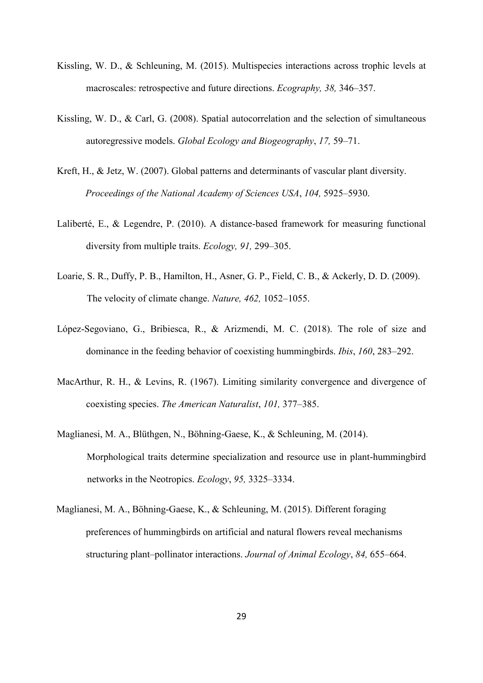- Kissling, W. D., & Schleuning, M. (2015). Multispecies interactions across trophic levels at macroscales: retrospective and future directions. *Ecography, 38,* 346–357.
- Kissling, W. D., & Carl, G. (2008). Spatial autocorrelation and the selection of simultaneous autoregressive models. *Global Ecology and Biogeography*, *17,* 59–71.
- Kreft, H., & Jetz, W. (2007). Global patterns and determinants of vascular plant diversity. *Proceedings of the National Academy of Sciences USA*, *104,* 5925–5930.
- Laliberté, E., & Legendre, P. (2010). A distance-based framework for measuring functional diversity from multiple traits. *Ecology, 91,* 299–305.
- Loarie, S. R., Duffy, P. B., Hamilton, H., Asner, G. P., Field, C. B., & Ackerly, D. D. (2009). The velocity of climate change. *Nature, 462,* 1052–1055.
- López-Segoviano, G., Bribiesca, R., & Arizmendi, M. C. (2018). The role of size and dominance in the feeding behavior of coexisting hummingbirds. *Ibis*, *160*, 283–292.
- MacArthur, R. H., & Levins, R. (1967). Limiting similarity convergence and divergence of coexisting species. *The American Naturalist*, *101,* 377–385.
- Maglianesi, M. A., Blüthgen, N., Böhning-Gaese, K., & Schleuning, M. (2014). Morphological traits determine specialization and resource use in plant-hummingbird networks in the Neotropics. *Ecology*, *95,* 3325–3334.
- Maglianesi, M. A., Böhning-Gaese, K., & Schleuning, M. (2015). Different foraging preferences of hummingbirds on artificial and natural flowers reveal mechanisms structuring plant–pollinator interactions. *Journal of Animal Ecology*, *84,* 655–664.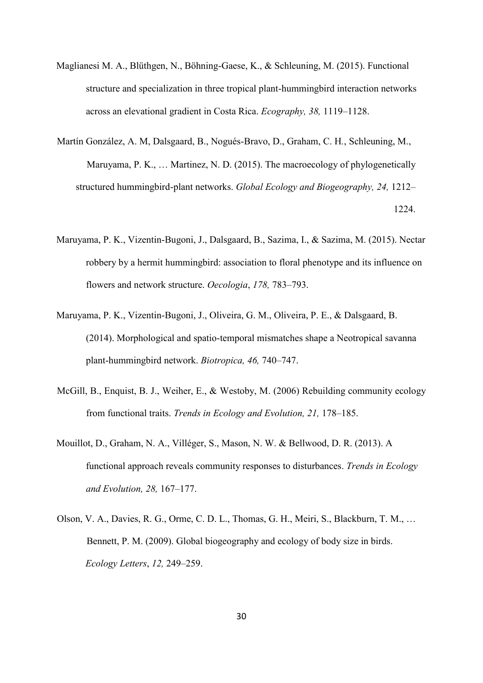- Maglianesi M. A., Blüthgen, N., Böhning-Gaese, K., & Schleuning, M. (2015). Functional structure and specialization in three tropical plant-hummingbird interaction networks across an elevational gradient in Costa Rica. *Ecography, 38,* 1119–1128.
- Martín González, A. M, Dalsgaard, B., Nogués-Bravo, D., Graham, C. H*.*, Schleuning, M., Maruyama, P. K., … Martinez, N. D. (2015). The macroecology of phylogenetically structured hummingbird-plant networks. *Global Ecology and Biogeography, 24,* 1212– 1224.
- Maruyama, P. K., Vizentin-Bugoni, J., Dalsgaard, B., Sazima, I., & Sazima, M. (2015). Nectar robbery by a hermit hummingbird: association to floral phenotype and its influence on flowers and network structure. *Oecologia*, *178,* 783–793.
- Maruyama, P. K., Vizentin-Bugoni, J., Oliveira, G. M., Oliveira, P. E., & Dalsgaard, B. (2014). Morphological and spatio-temporal mismatches shape a Neotropical savanna plant-hummingbird network. *Biotropica, 46,* 740–747.
- McGill, B., Enquist, B. J., Weiher, E., & Westoby, M. (2006) Rebuilding community ecology from functional traits. *Trends in Ecology and Evolution, 21,* 178–185.
- Mouillot, D., Graham, N. A., Villéger, S., Mason, N. W. & Bellwood, D. R. (2013). A functional approach reveals community responses to disturbances. *Trends in Ecology and Evolution, 28,* 167–177.
- Olson, V. A., Davies, R. G., Orme, C. D. L., Thomas, G. H., Meiri, S., Blackburn, T. M., … Bennett, P. M. (2009). Global biogeography and ecology of body size in birds. *Ecology Letters*, *12,* 249–259.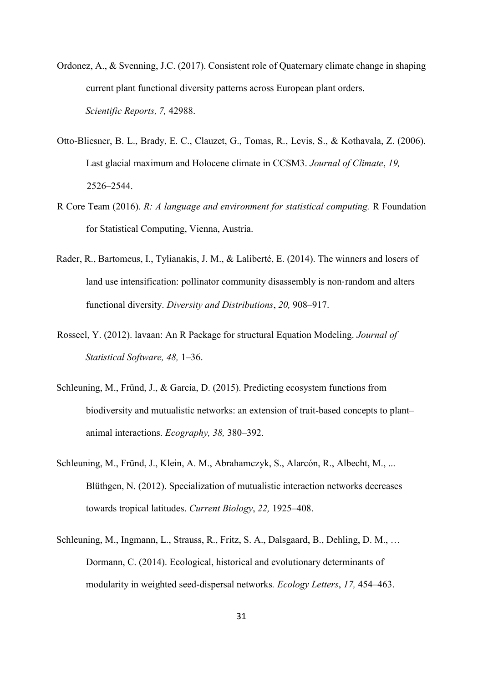- Ordonez, A., & Svenning, J.C. (2017). Consistent role of Quaternary climate change in shaping current plant functional diversity patterns across European plant orders. *Scientific Reports, 7,* 42988.
- Otto-Bliesner, B. L., Brady, E. C., Clauzet, G., Tomas, R., Levis, S., & Kothavala, Z. (2006). Last glacial maximum and Holocene climate in CCSM3. *Journal of Climate*, *19,* 2526–2544.
- R Core Team (2016). *R: A language and environment for statistical computing.* R Foundation for Statistical Computing, Vienna, Austria.
- Rader, R., Bartomeus, I., Tylianakis, J. M., & Laliberté, E. (2014). The winners and losers of land use intensification: pollinator community disassembly is non-random and alters functional diversity. *Diversity and Distributions*, *20,* 908–917.
- Rosseel, Y. (2012). lavaan: An R Package for structural Equation Modeling. *Journal of Statistical Software, 48,* 1–36.
- Schleuning, M., Fründ, J., & Garcia, D. (2015). Predicting ecosystem functions from biodiversity and mutualistic networks: an extension of trait-based concepts to plant– animal interactions. *Ecography, 38,* 380–392.
- Schleuning, M., Fründ, J., Klein, A. M., Abrahamczyk, S., Alarcón, R., Albecht, M., ... Blüthgen, N. (2012). Specialization of mutualistic interaction networks decreases towards tropical latitudes. *Current Biology*, *22,* 1925–408.
- Schleuning, M., Ingmann, L., Strauss, R., Fritz, S. A., Dalsgaard, B., Dehling, D. M., … Dormann, C. (2014). Ecological, historical and evolutionary determinants of modularity in weighted seed‐dispersal networks*. Ecology Letters*, *17,* 454–463.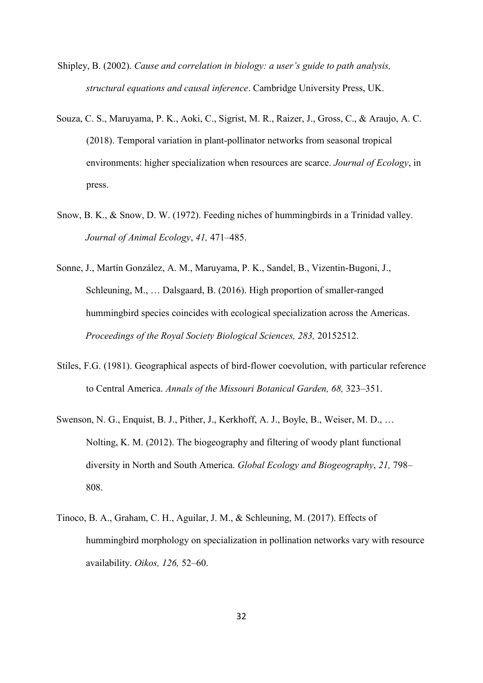- Shipley, B. (2002). *Cause and correlation in biology: a user's guide to path analysis, structural equations and causal inference*. Cambridge University Press, UK.
- Souza, C. S., Maruyama, P. K., Aoki, C., Sigrist, M. R., Raizer, J., Gross, C., & Araujo, A. C. (2018). Temporal variation in plant-pollinator networks from seasonal tropical environments: higher specialization when resources are scarce. *Journal of Ecology*, in press.
- Snow, B. K., & Snow, D. W. (1972). Feeding niches of hummingbirds in a Trinidad valley. *Journal of Animal Ecology*, *41,* 471–485.
- Sonne, J., Martín González, A. M., Maruyama, P. K., Sandel, B., Vizentin-Bugoni, J., Schleuning, M., … Dalsgaard, B. (2016). High proportion of smaller-ranged hummingbird species coincides with ecological specialization across the Americas. *Proceedings of the Royal Society Biological Sciences, 283,* 20152512.
- Stiles, F.G. (1981). Geographical aspects of bird-flower coevolution, with particular reference to Central America. *Annals of the Missouri Botanical Garden, 68,* 323–351.
- Swenson, N. G., Enquist, B. J., Pither, J., Kerkhoff, A. J., Boyle, B., Weiser, M. D., … Nolting, K. M. (2012). The biogeography and filtering of woody plant functional diversity in North and South America. *Global Ecology and Biogeography*, *21,* 798– 808.
- Tinoco, B. A., Graham, C. H., Aguilar, J. M., & Schleuning, M. (2017). Effects of hummingbird morphology on specialization in pollination networks vary with resource availability. *Oikos, 126,* 52–60.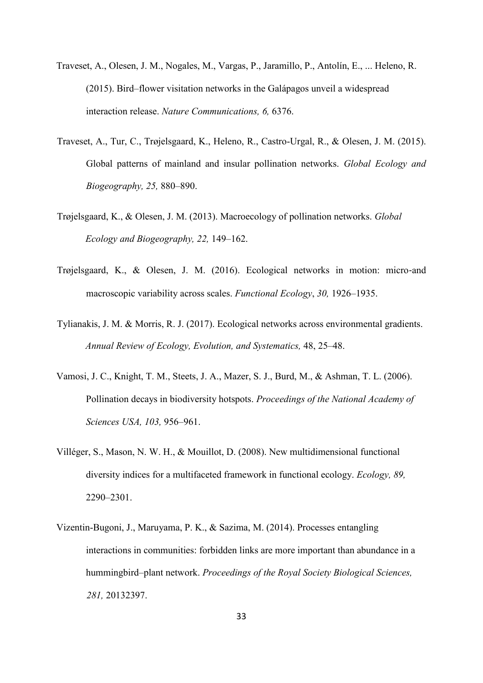- Traveset, A., Olesen, J. M., Nogales, M., Vargas, P., Jaramillo, P., Antolín, E., ... Heleno, R. (2015). Bird–flower visitation networks in the Galápagos unveil a widespread interaction release. *Nature Communications, 6,* 6376.
- Traveset, A., Tur, C., Trøjelsgaard, K., Heleno, R., Castro-Urgal, R., & Olesen, J. M. (2015). Global patterns of mainland and insular pollination networks. *Global Ecology and Biogeography, 25,* 880–890.
- Trøjelsgaard, K., & Olesen, J. M. (2013). Macroecology of pollination networks. *Global Ecology and Biogeography, 22,* 149–162.
- Trøjelsgaard, K., & Olesen, J. M. (2016). Ecological networks in motion: micro‐and macroscopic variability across scales. *Functional Ecology*, *30,* 1926–1935.
- Tylianakis, J. M. & Morris, R. J. (2017). Ecological networks across environmental gradients. *Annual Review of Ecology, Evolution, and Systematics,* 48, 25–48.
- Vamosi, J. C., Knight, T. M., Steets, J. A., Mazer, S. J., Burd, M., & Ashman, T. L. (2006). Pollination decays in biodiversity hotspots. *Proceedings of the National Academy of Sciences USA, 103,* 956–961.
- Villéger, S., Mason, N. W. H., & Mouillot, D. (2008). New multidimensional functional diversity indices for a multifaceted framework in functional ecology. *Ecology, 89,* 2290–2301.
- Vizentin-Bugoni, J., Maruyama, P. K., & Sazima, M. (2014). Processes entangling interactions in communities: forbidden links are more important than abundance in a hummingbird–plant network. *Proceedings of the Royal Society Biological Sciences, 281,* 20132397.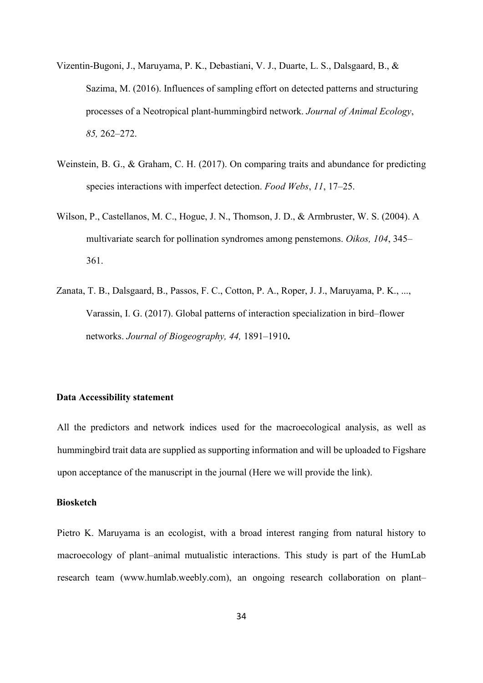- Vizentin-Bugoni, J., Maruyama, P. K., Debastiani, V. J., Duarte, L. S., Dalsgaard, B., & Sazima, M. (2016). Influences of sampling effort on detected patterns and structuring processes of a Neotropical plant-hummingbird network. *Journal of Animal Ecology*, *85,* 262–272.
- Weinstein, B. G., & Graham, C. H. (2017). On comparing traits and abundance for predicting species interactions with imperfect detection. *Food Webs*, *11*, 17–25.
- Wilson, P., Castellanos, M. C., Hogue, J. N., Thomson, J. D., & Armbruster, W. S. (2004). A multivariate search for pollination syndromes among penstemons. *Oikos, 104*, 345– 361.
- Zanata, T. B., Dalsgaard, B., Passos, F. C., Cotton, P. A., Roper, J. J., Maruyama, P. K., ..., Varassin, I. G. (2017). Global patterns of interaction specialization in bird–flower networks. *Journal of Biogeography, 44,* 1891–1910**.**

#### **Data Accessibility statement**

All the predictors and network indices used for the macroecological analysis, as well as hummingbird trait data are supplied as supporting information and will be uploaded to Figshare upon acceptance of the manuscript in the journal (Here we will provide the link).

# **Biosketch**

Pietro K. Maruyama is an ecologist, with a broad interest ranging from natural history to macroecology of plant–animal mutualistic interactions. This study is part of the HumLab research team (www.humlab.weebly.com), an ongoing research collaboration on plant–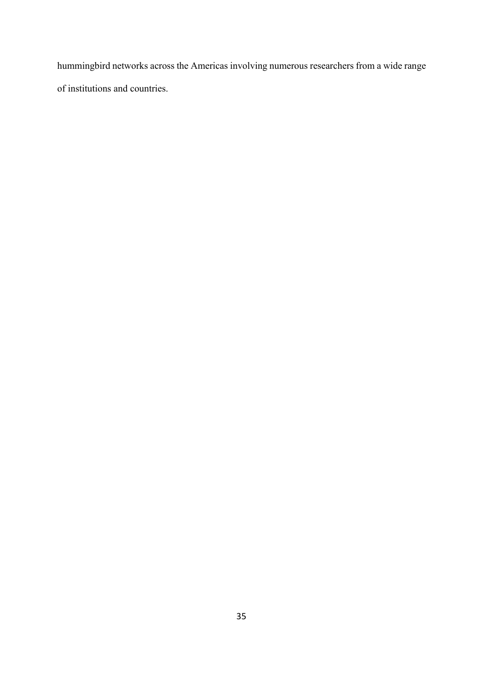hummingbird networks across the Americas involving numerous researchers from a wide range of institutions and countries.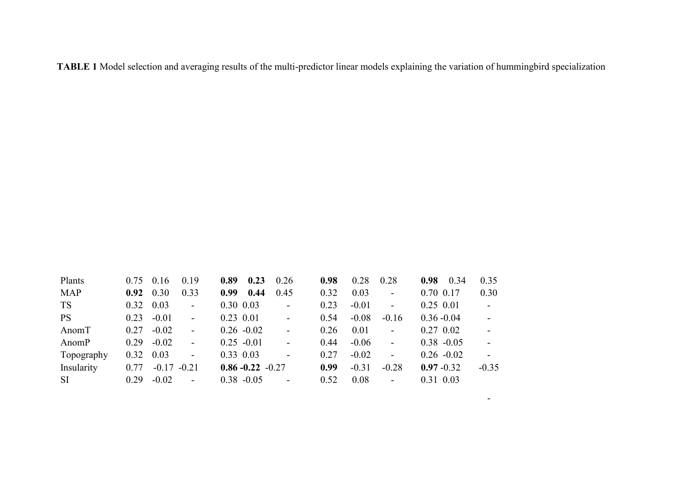**TABLE 1** Model selection and averaging results of the multi-predictor linear models explaining the variation of hummingbird specialization

| Plants     | $0.75$ 0.16       |                | 0.19                     | 0.89 | 0.23                 | 0.26                     | 0.98 | 0.28    | 0.28                     | 0.34<br>0.98  | 0.35           |
|------------|-------------------|----------------|--------------------------|------|----------------------|--------------------------|------|---------|--------------------------|---------------|----------------|
| <b>MAP</b> | 0.92              | 0.30           | 0.33                     | 0.99 | 0.44                 | 0.45                     | 0.32 | 0.03    | $\frac{1}{2}$            | 0.70 0.17     | 0.30           |
| <b>TS</b>  | $0.32 \quad 0.03$ |                | $\overline{a}$           |      | $0.30\ 0.03$         | $\blacksquare$           | 0.23 | $-0.01$ | $\overline{a}$           | $0.25$ 0.01   | $\blacksquare$ |
| <b>PS</b>  | 0.23              | $-0.01$        | $\bar{\phantom{a}}$      |      | $0.23$ 0.01          | $\overline{\phantom{a}}$ | 0.54 | $-0.08$ | $-0.16$                  | $0.36 - 0.04$ | $\sim$         |
| AnomT      | 0.27              | $-0.02$        | $\blacksquare$           |      | $0.26 - 0.02$        | $\sim$                   | 0.26 | 0.01    | $\frac{1}{2}$            | $0.27$ 0.02   |                |
| AnomP      | 0.29              | $-0.02$        | $\overline{\phantom{a}}$ |      | $0.25 - 0.01$        | $\sim$                   | 0.44 | $-0.06$ | $\bar{\phantom{a}}$      | $0.38 - 0.05$ | $\sim$         |
| Topography | 0.32              | 0.03           | $\overline{\phantom{a}}$ |      | $0.33$ 0.03          |                          | 0.27 | $-0.02$ | $\overline{a}$           | $0.26 - 0.02$ |                |
| Insularity | 0.77              | $-0.17 - 0.21$ |                          |      | $0.86 - 0.22 - 0.27$ |                          | 0.99 | $-0.31$ | $-0.28$                  | $0.97 - 0.32$ | $-0.35$        |
| <b>SI</b>  | 0.29              | $-0.02$        | $\overline{a}$           |      | $0.38 - 0.05$        | $\overline{\phantom{a}}$ | 0.52 | 0.08    | $\overline{\phantom{a}}$ | 0.31 0.03     |                |

-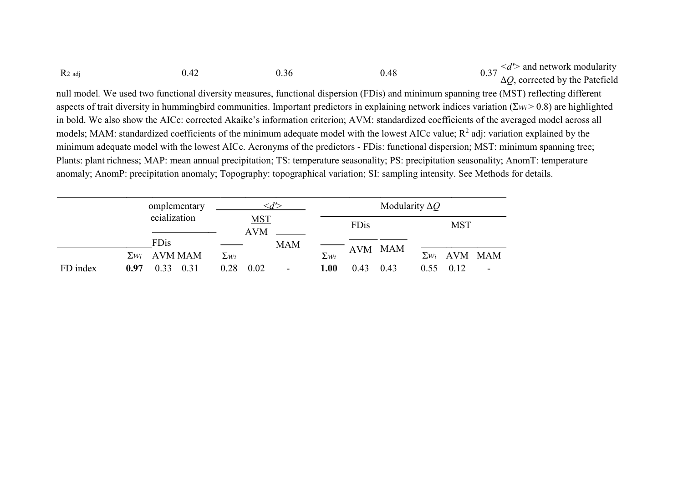| $R_2$ adj                                                                                                                                                  | 0.42 | 0.36 | 0.48                                                                                                                         | 0.37 $\langle d' \rangle$ and network modularity<br>0.37 $\Delta Q$ , corrected by the Patefield                                       |  |  |  |  |
|------------------------------------------------------------------------------------------------------------------------------------------------------------|------|------|------------------------------------------------------------------------------------------------------------------------------|----------------------------------------------------------------------------------------------------------------------------------------|--|--|--|--|
| null model. We used two functional diversity measures, functional dispersion (FDis) and minimum spanning tree (MST) reflecting different                   |      |      |                                                                                                                              |                                                                                                                                        |  |  |  |  |
| aspects of trait diversity in hummingbird communities. Important predictors in explaining network indices variation ( $\Sigma w_i > 0.8$ ) are highlighted |      |      |                                                                                                                              |                                                                                                                                        |  |  |  |  |
| in bold. We also show the AICc: corrected Akaike's information criterion; AVM: standardized coefficients of the averaged model across all                  |      |      |                                                                                                                              |                                                                                                                                        |  |  |  |  |
| models; MAM: standardized coefficients of the minimum adequate model with the lowest AICc value; $R^2$ adj: variation explained by the                     |      |      |                                                                                                                              |                                                                                                                                        |  |  |  |  |
| minimum adequate model with the lowest AICc. Acronyms of the predictors - FDis: functional dispersion; MST: minimum spanning tree;                         |      |      |                                                                                                                              |                                                                                                                                        |  |  |  |  |
|                                                                                                                                                            |      |      |                                                                                                                              | Plants: plant richness; MAP: mean annual precipitation; TS: temperature seasonality; PS: precipitation seasonality; AnomT: temperature |  |  |  |  |
|                                                                                                                                                            |      |      | anomaly; AnomP: precipitation anomaly; Topography: topographical variation; SI: sampling intensity. See Methods for details. |                                                                                                                                        |  |  |  |  |

|          | omplementary         |                          | Modularity $\Delta Q$ |                                          |  |
|----------|----------------------|--------------------------|-----------------------|------------------------------------------|--|
|          | ecialization         | <u>MST</u><br><b>AVM</b> | FDis                  | <b>MST</b>                               |  |
|          | FDis                 | <b>MAM</b>               | AVM MAM               |                                          |  |
|          | $\Sigma w_i$ AVM MAM | $\Sigma$ <i>wi</i>       | $\Sigma$ wi           | $\Sigma w_i$ AVM MAM                     |  |
| FD index | 0.33<br>0.97<br>0.31 | 0.28<br>0.02<br>۰.       | 1.00<br>0.43<br>0.43  | 0.12<br>0.55<br>$\overline{\phantom{a}}$ |  |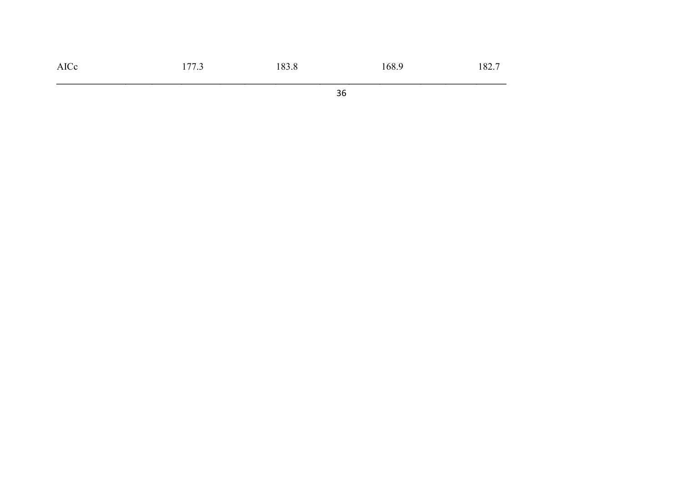| AICc | $. \pi \pi$ $\sim$<br>ر . | 183.8 | $\sim$ $\sim$<br>168.5 | $\sim$ $\sim$ $\sim$<br>182. |
|------|---------------------------|-------|------------------------|------------------------------|
|      |                           |       |                        |                              |

36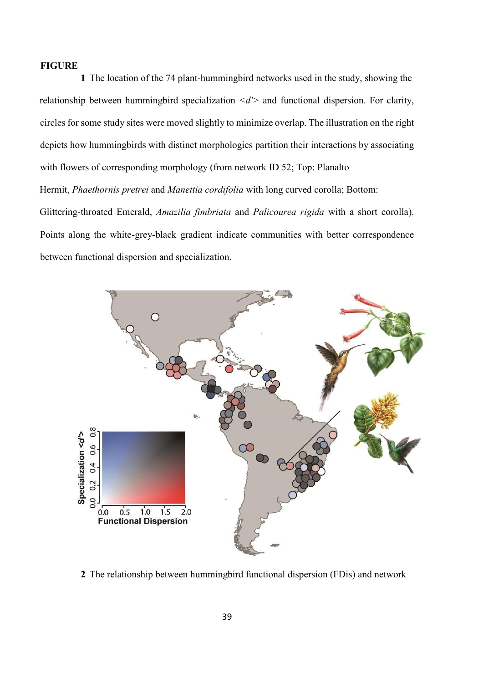#### **FIGURE**

**1** The location of the 74 plant-hummingbird networks used in the study, showing the relationship between hummingbird specialization *<d'>* and functional dispersion. For clarity, circles for some study sites were moved slightly to minimize overlap. The illustration on the right depicts how hummingbirds with distinct morphologies partition their interactions by associating with flowers of corresponding morphology (from network ID 52; Top: Planalto Hermit, *Phaethornis pretrei* and *Manettia cordifolia* with long curved corolla; Bottom: Glittering-throated Emerald, *Amazilia fimbriata* and *Palicourea rigida* with a short corolla). Points along the white-grey-black gradient indicate communities with better correspondence between functional dispersion and specialization.



**2** The relationship between hummingbird functional dispersion (FDis) and network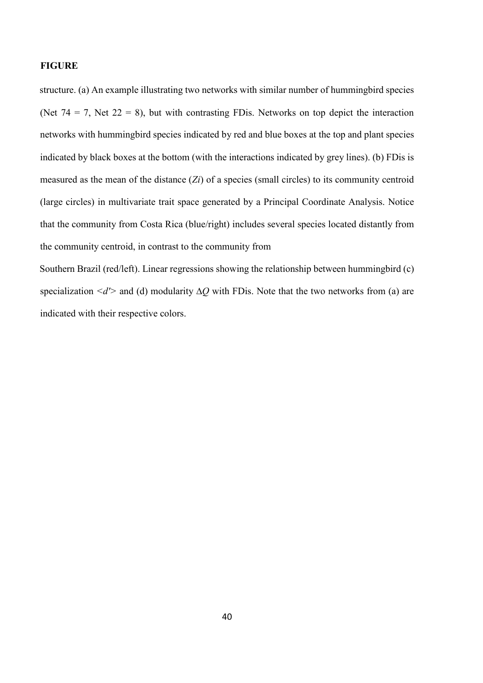#### **FIGURE**

structure. (a) An example illustrating two networks with similar number of hummingbird species (Net  $74 = 7$ , Net  $22 = 8$ ), but with contrasting FDis. Networks on top depict the interaction networks with hummingbird species indicated by red and blue boxes at the top and plant species indicated by black boxes at the bottom (with the interactions indicated by grey lines). (b) FDis is measured as the mean of the distance (*Zi*) of a species (small circles) to its community centroid (large circles) in multivariate trait space generated by a Principal Coordinate Analysis. Notice that the community from Costa Rica (blue/right) includes several species located distantly from the community centroid, in contrast to the community from

Southern Brazil (red/left). Linear regressions showing the relationship between hummingbird (c) specialization <*d'*> and (d) modularity Δ*Q* with FDis. Note that the two networks from (a) are indicated with their respective colors.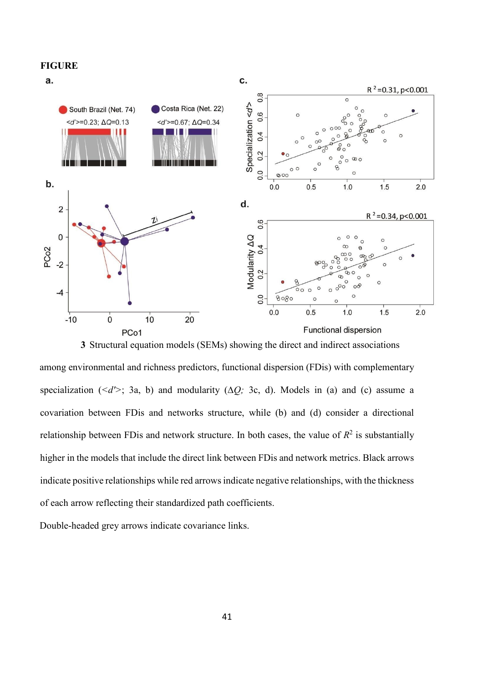

among environmental and richness predictors, functional dispersion (FDis) with complementary specialization ( $\langle d' \rangle$ ; 3a, b) and modularity ( $\Delta Q$ ; 3c, d). Models in (a) and (c) assume a covariation between FDis and networks structure, while (b) and (d) consider a directional relationship between FD is and network structure. In both cases, the value of  $R^2$  is substantially higher in the models that include the direct link between FDis and network metrics. Black arrows indicate positive relationships while red arrows indicate negative relationships, with the thickness of each arrow reflecting their standardized path coefficients.

Double-headed grey arrows indicate covariance links.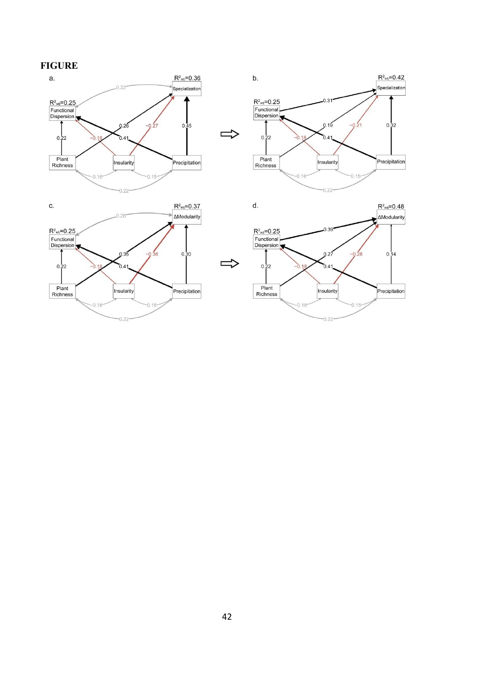## **FIGURE**







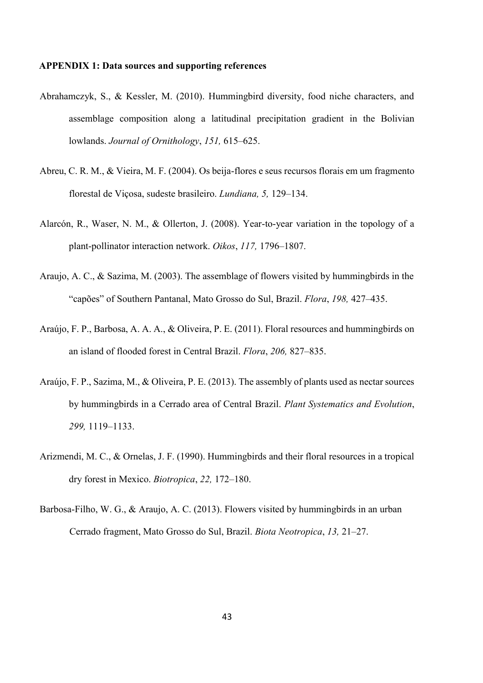#### **APPENDIX 1: Data sources and supporting references**

- Abrahamczyk, S., & Kessler, M. (2010). Hummingbird diversity, food niche characters, and assemblage composition along a latitudinal precipitation gradient in the Bolivian lowlands. *Journal of Ornithology*, *151,* 615–625.
- Abreu, C. R. M., & Vieira, M. F. (2004). Os beija-flores e seus recursos florais em um fragmento florestal de Viçosa, sudeste brasileiro. *Lundiana, 5,* 129–134.
- Alarcón, R., Waser, N. M., & Ollerton, J. (2008). Year-to-year variation in the topology of a plant-pollinator interaction network. *Oikos*, *117,* 1796–1807.
- Araujo, A. C., & Sazima, M. (2003). The assemblage of flowers visited by hummingbirds in the "capões" of Southern Pantanal, Mato Grosso do Sul, Brazil. *Flora*, *198,* 427–435.
- Araújo, F. P., Barbosa, A. A. A., & Oliveira, P. E. (2011). Floral resources and hummingbirds on an island of flooded forest in Central Brazil. *Flora*, *206,* 827–835.
- Araújo, F. P., Sazima, M., & Oliveira, P. E. (2013). The assembly of plants used as nectar sources by hummingbirds in a Cerrado area of Central Brazil. *Plant Systematics and Evolution*, *299,* 1119–1133.
- Arizmendi, M. C., & Ornelas, J. F. (1990). Hummingbirds and their floral resources in a tropical dry forest in Mexico. *Biotropica*, *22,* 172–180.
- Barbosa-Filho, W. G., & Araujo, A. C. (2013). Flowers visited by hummingbirds in an urban Cerrado fragment, Mato Grosso do Sul, Brazil. *Biota Neotropica*, *13,* 21–27.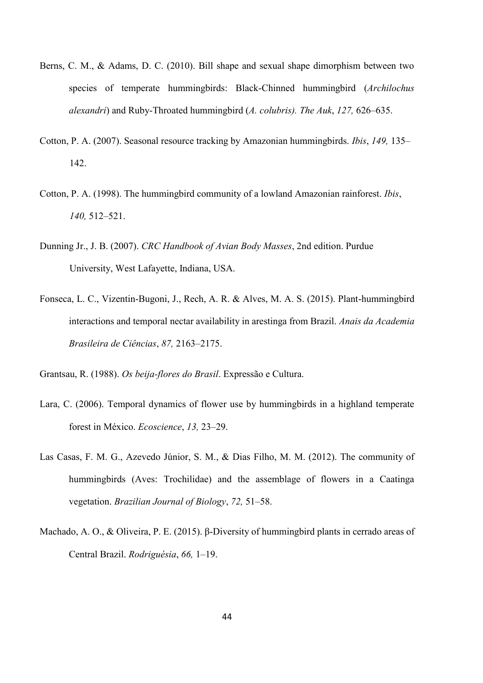- Berns, C. M., & Adams, D. C. (2010). Bill shape and sexual shape dimorphism between two species of temperate hummingbirds: Black-Chinned hummingbird (*Archilochus alexandri*) and Ruby-Throated hummingbird (*A. colubris). The Auk*, *127,* 626–635.
- Cotton, P. A. (2007). Seasonal resource tracking by Amazonian hummingbirds. *Ibis*, *149,* 135– 142.
- Cotton, P. A. (1998). The hummingbird community of a lowland Amazonian rainforest. *Ibis*, *140,* 512–521.
- Dunning Jr., J. B. (2007). *CRC Handbook of Avian Body Masses*, 2nd edition. Purdue University, West Lafayette, Indiana, USA.
- Fonseca, L. C., Vizentin-Bugoni, J., Rech, A. R. & Alves, M. A. S. (2015). Plant-hummingbird interactions and temporal nectar availability in arestinga from Brazil. *Anais da Academia Brasileira de Ciências*, *87,* 2163–2175.

Grantsau, R. (1988). *Os beija-flores do Brasil*. Expressão e Cultura.

- Lara, C. (2006). Temporal dynamics of flower use by hummingbirds in a highland temperate forest in México. *Ecoscience*, *13,* 23–29.
- Las Casas, F. M. G., Azevedo Júnior, S. M., & Dias Filho, M. M. (2012). The community of hummingbirds (Aves: Trochilidae) and the assemblage of flowers in a Caatinga vegetation. *Brazilian Journal of Biology*, *72,* 51–58.
- Machado, A. O., & Oliveira, P. E. (2015). β-Diversity of hummingbird plants in cerrado areas of Central Brazil. *Rodriguésia*, *66,* 1–19.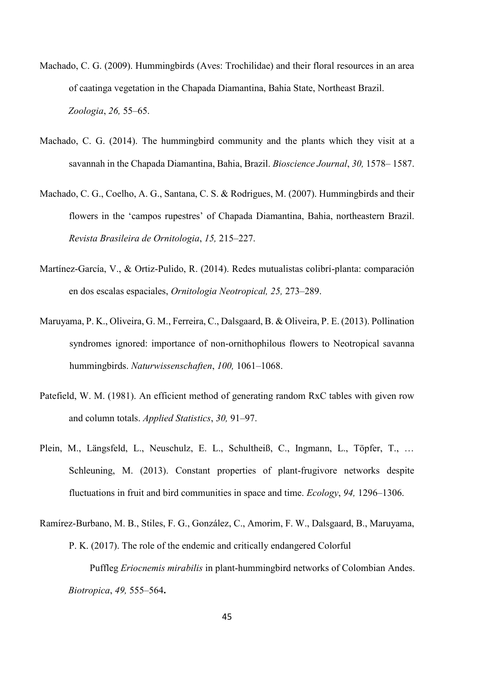- Machado, C. G. (2009). Hummingbirds (Aves: Trochilidae) and their floral resources in an area of caatinga vegetation in the Chapada Diamantina, Bahia State, Northeast Brazil. *Zoologia*, *26,* 55–65.
- Machado, C. G. (2014). The hummingbird community and the plants which they visit at a savannah in the Chapada Diamantina, Bahia, Brazil. *Bioscience Journal*, *30,* 1578– 1587.
- Machado, C. G., Coelho, A. G., Santana, C. S. & Rodrigues, M. (2007). Hummingbirds and their flowers in the 'campos rupestres' of Chapada Diamantina, Bahia, northeastern Brazil. *Revista Brasileira de Ornitologia*, *15,* 215–227.
- Martínez-García, V., & Ortiz-Pulido, R. (2014). Redes mutualistas colibrí-planta: comparación en dos escalas espaciales, *Ornitologia Neotropical, 25,* 273–289.
- Maruyama, P. K., Oliveira, G. M., Ferreira, C., Dalsgaard, B. & Oliveira, P. E. (2013). Pollination syndromes ignored: importance of non-ornithophilous flowers to Neotropical savanna hummingbirds. *Naturwissenschaften*, *100,* 1061–1068.
- Patefield, W. M. (1981). An efficient method of generating random RxC tables with given row and column totals. *Applied Statistics*, *30,* 91–97.
- Plein, M., Längsfeld, L., Neuschulz, E. L., Schultheiß, C., Ingmann, L., Töpfer, T., … Schleuning, M. (2013). Constant properties of plant-frugivore networks despite fluctuations in fruit and bird communities in space and time. *Ecology*, *94,* 1296–1306.
- Ramírez-Burbano, M. B., Stiles, F. G., González, C., Amorim, F. W., Dalsgaard, B., Maruyama, P. K. (2017). The role of the endemic and critically endangered Colorful Puffleg *Eriocnemis mirabilis* in plant-hummingbird networks of Colombian Andes. *Biotropica*, *49,* 555–564**.**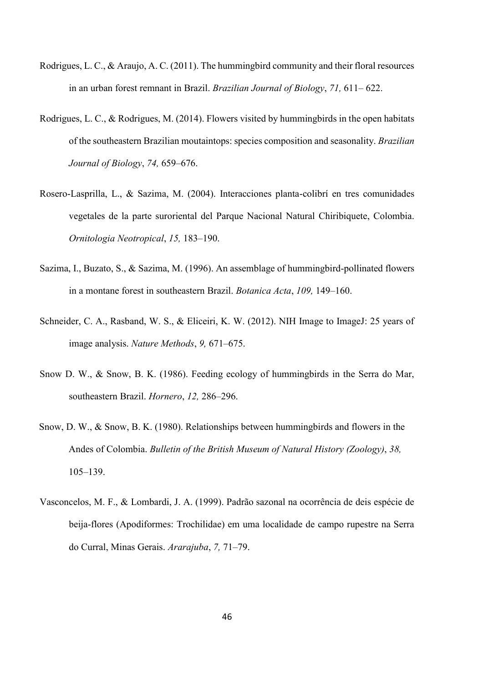- Rodrigues, L. C., & Araujo, A. C. (2011). The hummingbird community and their floral resources in an urban forest remnant in Brazil. *Brazilian Journal of Biology*, *71,* 611– 622.
- Rodrigues, L. C., & Rodrigues, M. (2014). Flowers visited by hummingbirds in the open habitats of the southeastern Brazilian moutaintops: species composition and seasonality. *Brazilian Journal of Biology*, *74,* 659–676.
- Rosero-Lasprilla, L., & Sazima, M. (2004). Interacciones planta-colibrí en tres comunidades vegetales de la parte suroriental del Parque Nacional Natural Chiribiquete, Colombia. *Ornitologia Neotropical*, *15,* 183–190.
- Sazima, I., Buzato, S., & Sazima, M. (1996). An assemblage of hummingbird-pollinated flowers in a montane forest in southeastern Brazil. *Botanica Acta*, *109,* 149–160.
- Schneider, C. A., Rasband, W. S., & Eliceiri, K. W. (2012). NIH Image to ImageJ: 25 years of image analysis. *Nature Methods*, *9,* 671–675.
- Snow D. W., & Snow, B. K. (1986). Feeding ecology of hummingbirds in the Serra do Mar, southeastern Brazil. *Hornero*, *12,* 286–296.
- Snow, D. W., & Snow, B. K. (1980). Relationships between hummingbirds and flowers in the Andes of Colombia. *Bulletin of the British Museum of Natural History (Zoology)*, *38,* 105–139.
- Vasconcelos, M. F., & Lombardi, J. A. (1999). Padrão sazonal na ocorrência de deis espécie de beija-flores (Apodiformes: Trochilidae) em uma localidade de campo rupestre na Serra do Curral, Minas Gerais. *Ararajuba*, *7,* 71–79.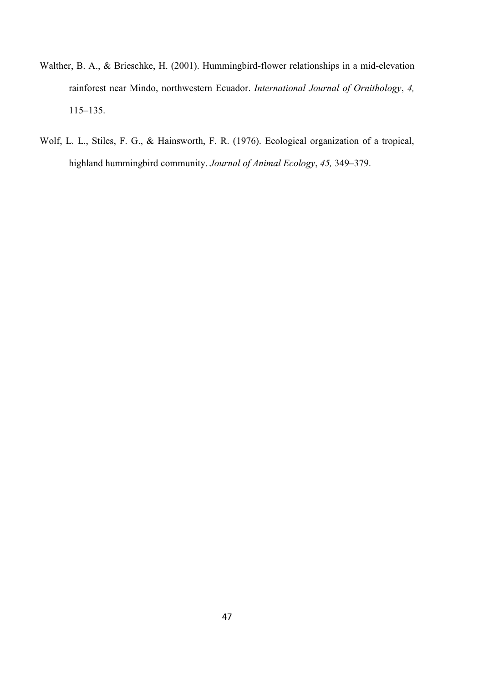- Walther, B. A., & Brieschke, H. (2001). Hummingbird-flower relationships in a mid-elevation rainforest near Mindo, northwestern Ecuador. *International Journal of Ornithology*, *4,* 115–135.
- Wolf, L. L., Stiles, F. G., & Hainsworth, F. R. (1976). Ecological organization of a tropical, highland hummingbird community. *Journal of Animal Ecology*, *45,* 349–379.